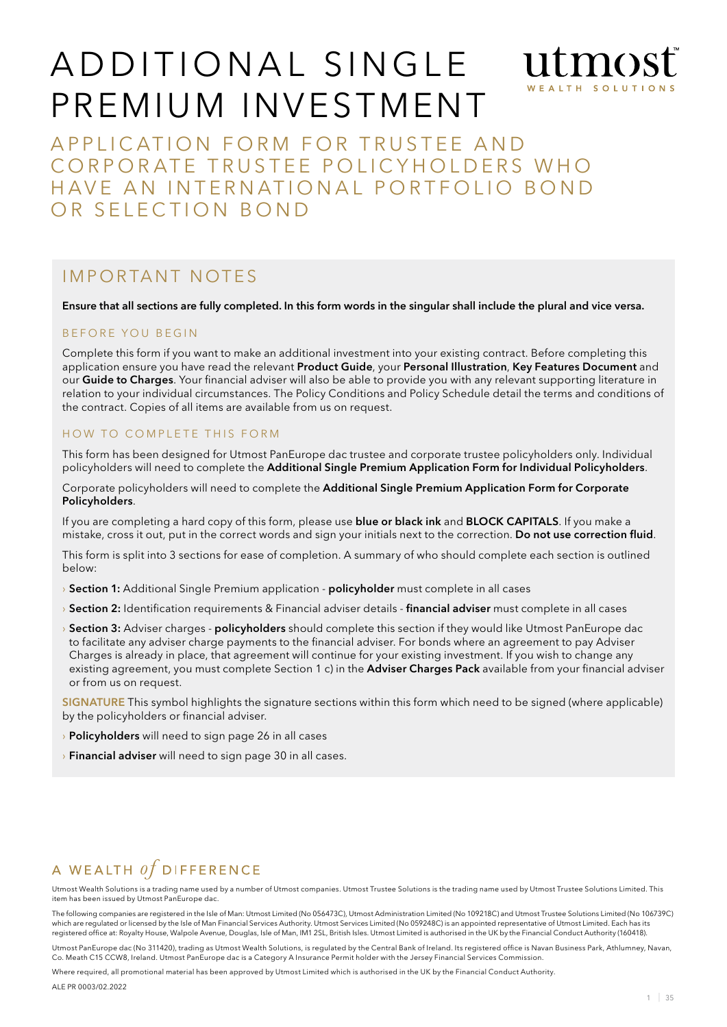# ADDITIONAL SINGLE WEALTH SOLUTIO Premium Investment

APPLICATION FORM FOR TRUSTEE AND CORPORATE TRUSTEE POLICYHOLDERS WHO HAVE AN INTERNATIONAL PORTFOLIO BOND OR SELECTION BOND

## I mp o rtant n otes

Ensure that all sections are fully completed. In this form words in the singular shall include the plural and vice versa.

#### B F F O R E YOU B F G IN

Complete this form if you want to make an additional investment into your existing contract. Before completing this application ensure you have read the relevant Product Guide, your Personal Illustration, Key Features Document and our Guide to Charges. Your financial adviser will also be able to provide you with any relevant supporting literature in relation to your individual circumstances. The Policy Conditions and Policy Schedule detail the terms and conditions of the contract. Copies of all items are available from us on request.

#### HOW TO COMPLETE THIS FORM

This form has been designed for Utmost PanEurope dac trustee and corporate trustee policyholders only. Individual policyholders will need to complete the Additional Single Premium Application Form for Individual Policyholders.

Corporate policyholders will need to complete the Additional Single Premium Application Form for Corporate Policyholders.

If you are completing a hard copy of this form, please use blue or black ink and BLOCK CAPITALS. If you make a mistake, cross it out, put in the correct words and sign your initials next to the correction. Do not use correction fluid.

This form is split into 3 sections for ease of completion. A summary of who should complete each section is outlined below:

- **Section 1:** Additional Single Premium application policyholder must complete in all cases
- › Section 2: Identification requirements & Financial adviser details financial adviser must complete in all cases
- **Section 3:** Adviser charges **policyholders** should complete this section if they would like Utmost PanEurope dac to facilitate any adviser charge payments to the financial adviser. For bonds where an agreement to pay Adviser Charges is already in place, that agreement will continue for your existing investment. If you wish to change any existing agreement, you must complete Section 1 c) in the Adviser Charges Pack available from your financial adviser or from us on request.

SIGNATURE This symbol highlights the signature sections within this form which need to be signed (where applicable) by the policyholders or financial adviser.

- **Policyholders** will need to sign page 26 in all cases
- $\rightarrow$  Financial adviser will need to sign page 30 in all cases.

## A WEALTH  $of$  DIFFERENCE

Utmost Wealth Solutions is a trading name used by a number of Utmost companies. Utmost Trustee Solutions is the trading name used by Utmost Trustee Solutions Limited. This item has been issued by Utmost PanEurope dac.

The following companies are registered in the Isle of Man: Utmost Limited (No 056473C), Utmost Administration Limited (No 109218C) and Utmost Trustee Solutions Limited (No 106739C) which are regulated or licensed by the Isle of Man Financial Services Authority. Utmost Services Limited (No 059248C) is an appointed representative of Utmost Limited. Each has its registered office at: Royalty House, Walpole Avenue, Douglas, Isle of Man, IM1 2SL, British Isles. Utmost Limited is authorised in the UK by the Financial Conduct Authority (160418).

Utmost PanEurope dac (No 311420), trading as Utmost Wealth Solutions, is regulated by the Central Bank of Ireland. Its registered office is Navan Business Park, Athlumney, Navan, Co. Meath C15 CCW8, Ireland. Utmost PanEurope dac is a Category A Insurance Permit holder with the Jersey Financial Services Commission.

Where required, all promotional material has been approved by Utmost Limited which is authorised in the UK by the Financial Conduct Authority.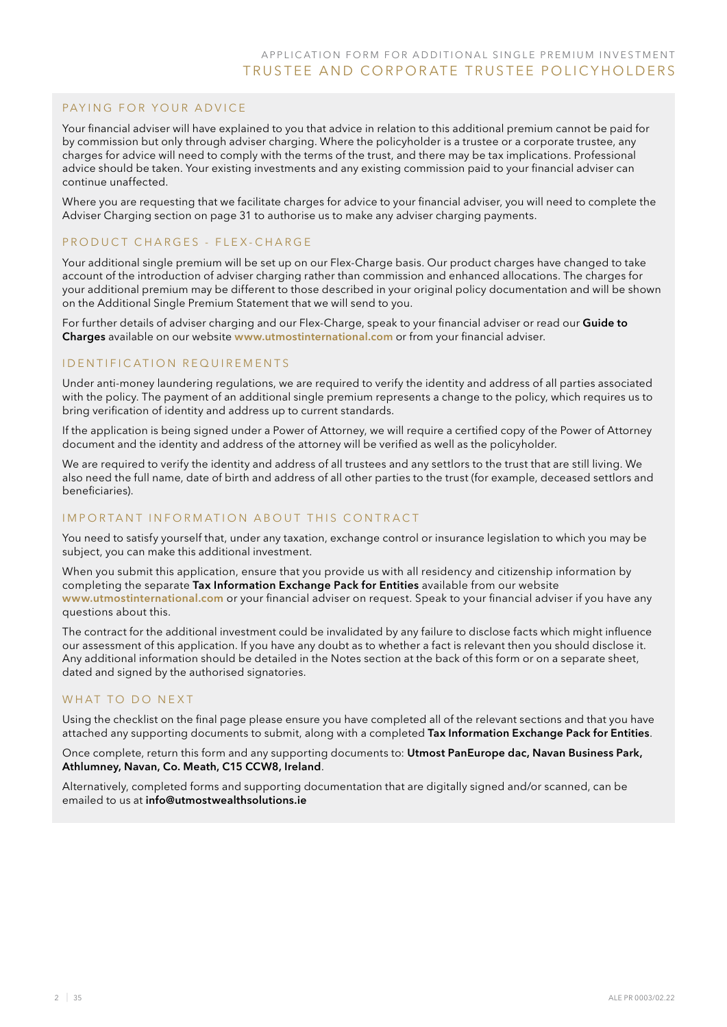### PAYING FOR YOUR ADVICE

Your financial adviser will have explained to you that advice in relation to this additional premium cannot be paid for by commission but only through adviser charging. Where the policyholder is a trustee or a corporate trustee, any charges for advice will need to comply with the terms of the trust, and there may be tax implications. Professional advice should be taken. Your existing investments and any existing commission paid to your financial adviser can continue unaffected.

Where you are requesting that we facilitate charges for advice to your financial adviser, you will need to complete the Adviser Charging section on page 31 to authorise us to make any adviser charging payments.

### PRODUCT CHARGES - FLEX-CHARGE

Your additional single premium will be set up on our Flex-Charge basis. Our product charges have changed to take account of the introduction of adviser charging rather than commission and enhanced allocations. The charges for your additional premium may be different to those described in your original policy documentation and will be shown on the Additional Single Premium Statement that we will send to you.

For further details of adviser charging and our Flex-Charge, speak to your financial adviser or read our Guide to Charges available on our website www.utmostinternational.com or from your financial adviser.

### I D EN TIFICATION REQUIREMENTS

Under anti-money laundering regulations, we are required to verify the identity and address of all parties associated with the policy. The payment of an additional single premium represents a change to the policy, which requires us to bring verification of identity and address up to current standards.

If the application is being signed under a Power of Attorney, we will require a certified copy of the Power of Attorney document and the identity and address of the attorney will be verified as well as the policyholder.

We are required to verify the identity and address of all trustees and any settlors to the trust that are still living. We also need the full name, date of birth and address of all other parties to the trust (for example, deceased settlors and beneficiaries).

### IMPORTANT INFORMATION ABOUT THIS CONTRACT

You need to satisfy yourself that, under any taxation, exchange control or insurance legislation to which you may be subject, you can make this additional investment.

When you submit this application, ensure that you provide us with all residency and citizenship information by completing the separate Tax Information Exchange Pack for Entities available from our website www.utmostinternational.com or your financial adviser on request. Speak to your financial adviser if you have any questions about this.

The contract for the additional investment could be invalidated by any failure to disclose facts which might influence our assessment of this application. If you have any doubt as to whether a fact is relevant then you should disclose it. Any additional information should be detailed in the Notes section at the back of this form or on a separate sheet, dated and signed by the authorised signatories.

#### WHAT TO DO NEXT

Using the checklist on the final page please ensure you have completed all of the relevant sections and that you have attached any supporting documents to submit, along with a completed Tax Information Exchange Pack for Entities.

Once complete, return this form and any supporting documents to: Utmost PanEurope dac, Navan Business Park, Athlumney, Navan, Co. Meath, C15 CCW8, Ireland.

Alternatively, completed forms and supporting documentation that are digitally signed and/or scanned, can be emailed to us at info@utmostwealthsolutions.ie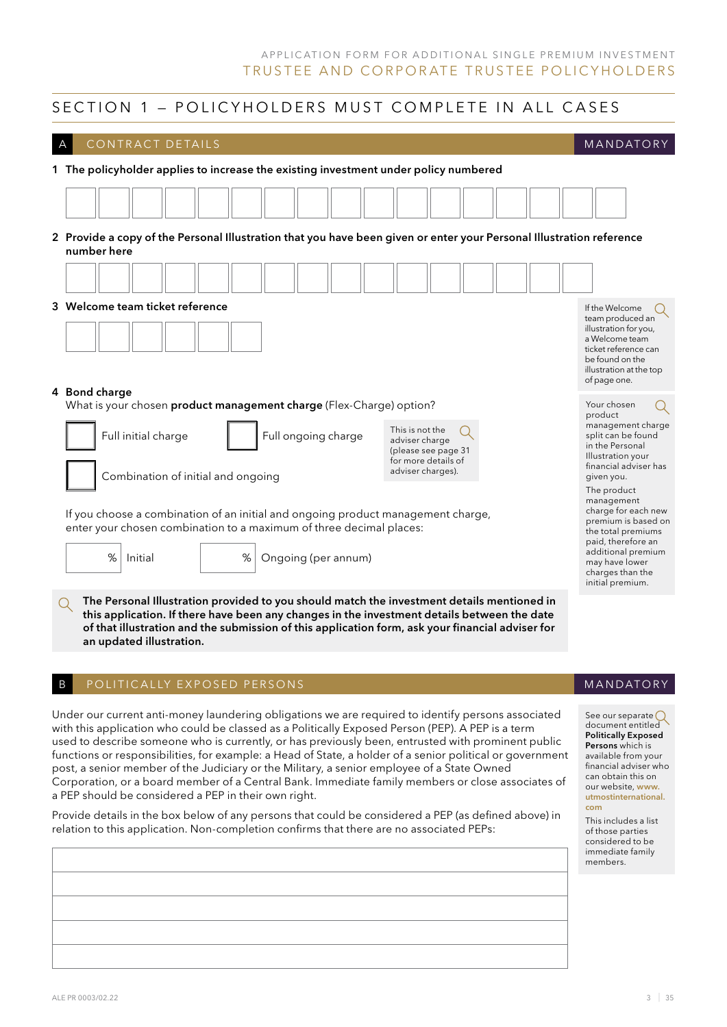#### SECTION 1 – POLICYHOLDERS MUST COMPLETE IN ALL CASES CONTRACT DETAILS **MANDATORY** 1 The policyholder applies to increase the existing investment under policy numbered 2 Provide a copy of the Personal Illustration that you have been given or enter your Personal Illustration reference number here **3 Welcome team ticket reference If the Welcome 16 AM** If the Welcome **If the Welcome** team produced an illustration for you, a Welcome team ticket reference can be found on the illustration at the top of page one. 4 Bond charge What is your chosen product management charge (Flex-Charge) option? Your chosen  $\left(\right)$ product management charge This is not the Full initial charge Full ongoing charge split can be found adviser charge in the Personal (please see page 31 Illustration your for more details of financial adviser has adviser charges). Combination of initial and ongoing given you. The product management charge for each new If you choose a combination of an initial and ongoing product management charge, premium is based on enter your chosen combination to a maximum of three decimal places: the total premiums paid, therefore an additional premium % Initial % Ongoing (per annum) may have lower charges than the initial premium. The Personal Illustration provided to you should match the investment details mentioned in this application. If there have been any changes in the investment details between the date of that illustration and the submission of this application form, ask your financial adviser for an updated illustration. POLITICALLY EXPOSED PERSONS **MANDATORY** Under our current anti-money laundering obligations we are required to identify persons associated See our separate  $\bigcirc$ document entitled with this application who could be classed as a Politically Exposed Person (PEP). A PEP is a term Politically Exposed used to describe someone who is currently, or has previously been, entrusted with prominent public Persons which is functions or responsibilities, for example: a Head of State, a holder of a senior political or government available from your financial adviser who post, a senior member of the Judiciary or the Military, a senior employee of a State Owned can obtain this on Corporation, or a board member of a Central Bank. Immediate family members or close associates of our website, www. a PEP should be considered a PEP in their own right.

Provide details in the box below of any persons that could be considered a PEP (as defined above) in relation to this application. Non-completion confirms that there are no associated PEPs:

utmostinternational. com

This includes a list of those parties considered to be immediate family members.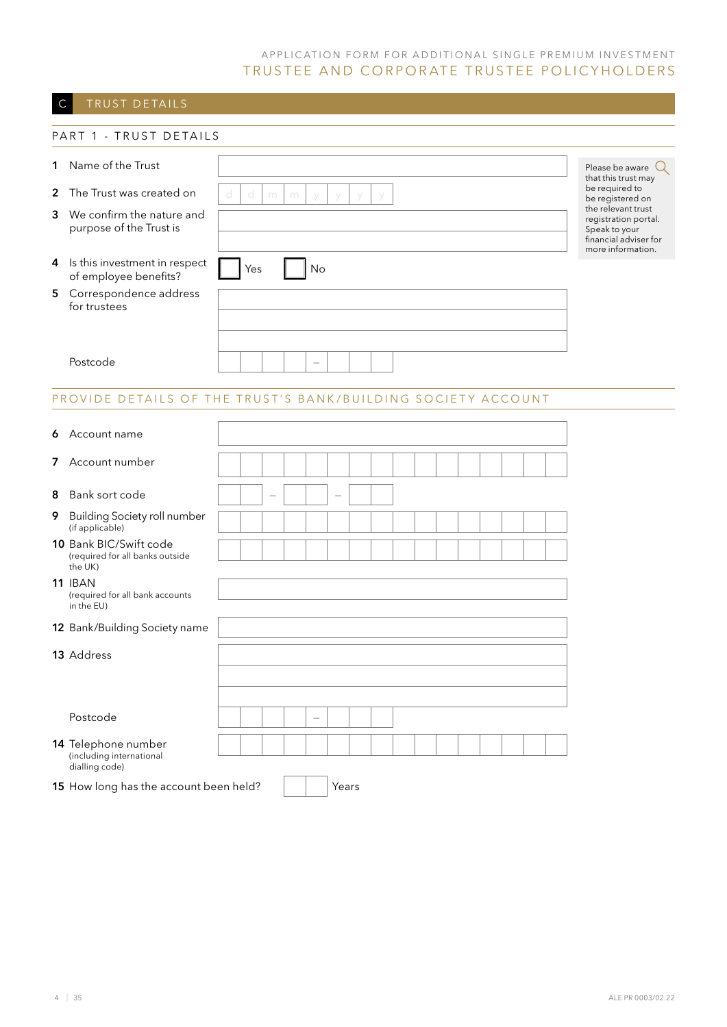## C TRUST DETAILS

|              | PART 1 - TRUST DETAILS                                               |   |        |   |    |       |   |  |  |  |  |  |                                                                                                           |  |  |
|--------------|----------------------------------------------------------------------|---|--------|---|----|-------|---|--|--|--|--|--|-----------------------------------------------------------------------------------------------------------|--|--|
| $\mathbf 1$  | Name of the Trust                                                    |   |        |   |    |       |   |  |  |  |  |  | Please be aware $\mathbb Q$<br>that this trust may                                                        |  |  |
| $\mathbf{2}$ | The Trust was created on                                             | d | d<br>m | m |    | y     | V |  |  |  |  |  | be required to<br>be registered on                                                                        |  |  |
| 3            | We confirm the nature and<br>purpose of the Trust is                 |   |        |   |    |       |   |  |  |  |  |  | the relevant trust<br>registration portal.<br>Speak to your<br>financial adviser for<br>more information. |  |  |
|              | 4 Is this investment in respect<br>of employee benefits?             |   | Yes    |   | No |       |   |  |  |  |  |  |                                                                                                           |  |  |
| 5            | Correspondence address<br>for trustees                               |   |        |   |    |       |   |  |  |  |  |  |                                                                                                           |  |  |
|              |                                                                      |   |        |   |    |       |   |  |  |  |  |  |                                                                                                           |  |  |
|              | Postcode                                                             |   |        |   |    |       |   |  |  |  |  |  |                                                                                                           |  |  |
|              | PROVIDE DETAILS OF THE TRUST'S BANK/BUILDING SOCIETY ACCOUNT         |   |        |   |    |       |   |  |  |  |  |  |                                                                                                           |  |  |
|              |                                                                      |   |        |   |    |       |   |  |  |  |  |  |                                                                                                           |  |  |
| 6            | Account name                                                         |   |        |   |    |       |   |  |  |  |  |  |                                                                                                           |  |  |
|              | 7 Account number                                                     |   |        |   |    |       |   |  |  |  |  |  |                                                                                                           |  |  |
| 8            | Bank sort code                                                       |   |        |   |    |       |   |  |  |  |  |  |                                                                                                           |  |  |
| 9            | <b>Building Society roll number</b><br>(if applicable)               |   |        |   |    |       |   |  |  |  |  |  |                                                                                                           |  |  |
|              | 10 Bank BIC/Swift code<br>(required for all banks outside<br>the UK) |   |        |   |    |       |   |  |  |  |  |  |                                                                                                           |  |  |
|              | <b>11 IBAN</b><br>(required for all bank accounts<br>in the EU)      |   |        |   |    |       |   |  |  |  |  |  |                                                                                                           |  |  |
|              | 12 Bank/Building Society name                                        |   |        |   |    |       |   |  |  |  |  |  |                                                                                                           |  |  |
|              | 13 Address                                                           |   |        |   |    |       |   |  |  |  |  |  |                                                                                                           |  |  |
|              |                                                                      |   |        |   |    |       |   |  |  |  |  |  |                                                                                                           |  |  |
|              | Postcode                                                             |   |        |   |    |       |   |  |  |  |  |  |                                                                                                           |  |  |
|              | 14 Telephone number<br>(including international<br>dialling code)    |   |        |   |    |       |   |  |  |  |  |  |                                                                                                           |  |  |
|              | 15 How long has the account been held?                               |   |        |   |    | Years |   |  |  |  |  |  |                                                                                                           |  |  |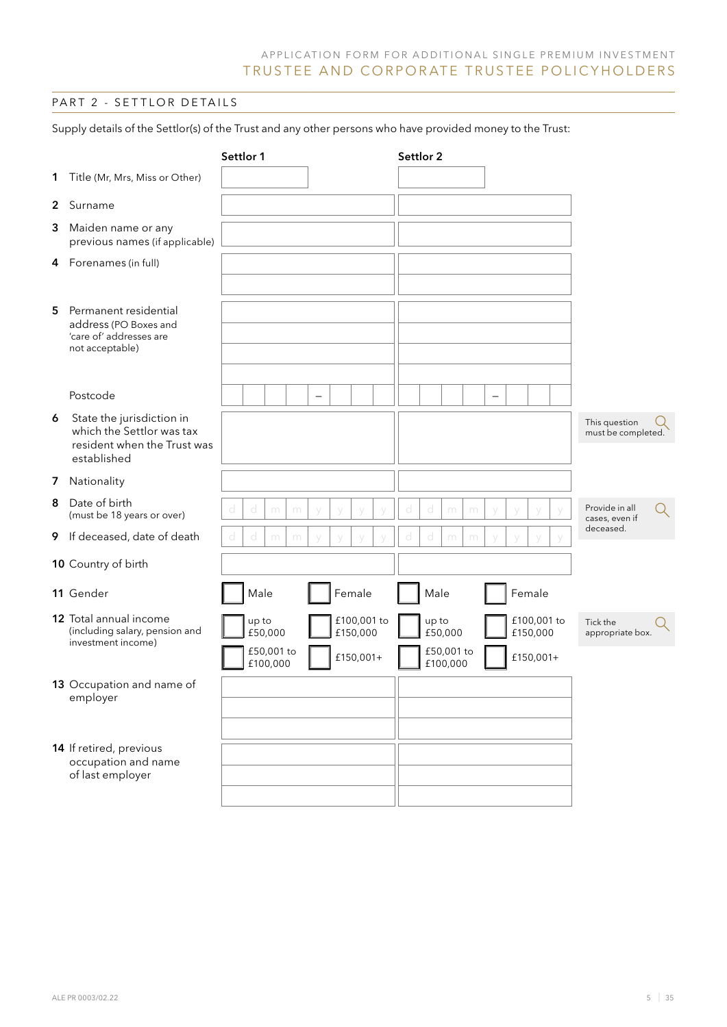### PART 2 - SETTLOR DETAILS

Supply details of the Settlor(s) of the Trust and any other persons who have provided money to the Trust:

|   |                                                                                                      | Settlor 1 |       |                       |   |                          |                       |             | Settlor 2 |                                |   |   |                          |                       |             |                                     |   |
|---|------------------------------------------------------------------------------------------------------|-----------|-------|-----------------------|---|--------------------------|-----------------------|-------------|-----------|--------------------------------|---|---|--------------------------|-----------------------|-------------|-------------------------------------|---|
|   | 1 Title (Mr, Mrs, Miss or Other)                                                                     |           |       |                       |   |                          |                       |             |           |                                |   |   |                          |                       |             |                                     |   |
|   | 2 Surname                                                                                            |           |       |                       |   |                          |                       |             |           |                                |   |   |                          |                       |             |                                     |   |
|   | 3 Maiden name or any<br>previous names (if applicable)                                               |           |       |                       |   |                          |                       |             |           |                                |   |   |                          |                       |             |                                     |   |
|   | 4 Forenames (in full)                                                                                |           |       |                       |   |                          |                       |             |           |                                |   |   |                          |                       |             |                                     |   |
| 5 | Permanent residential<br>address (PO Boxes and<br>'care of' addresses are<br>not acceptable)         |           |       |                       |   |                          |                       |             |           |                                |   |   |                          |                       |             |                                     |   |
|   | Postcode                                                                                             |           |       |                       |   | $\overline{\phantom{0}}$ |                       |             |           |                                |   |   | $\overline{\phantom{m}}$ |                       |             |                                     |   |
| 6 | State the jurisdiction in<br>which the Settlor was tax<br>resident when the Trust was<br>established |           |       |                       |   |                          |                       |             |           |                                |   |   |                          |                       |             | This question<br>must be completed. |   |
|   | 7 Nationality                                                                                        |           |       |                       |   |                          |                       |             |           |                                |   |   |                          |                       |             |                                     |   |
|   | 8 Date of birth<br>(must be 18 years or over)                                                        | d         | d     | m                     | m |                          |                       |             | d         | d                              | m | m |                          |                       |             | Provide in all<br>cases, even if    | Q |
|   | 9 If deceased, date of death                                                                         | d         | d     | m                     | m |                          |                       |             |           | d                              | m | m |                          |                       |             | deceased.                           |   |
|   | 10 Country of birth                                                                                  |           |       |                       |   |                          |                       |             |           |                                |   |   |                          |                       |             |                                     |   |
|   | 11 Gender                                                                                            |           | Male  |                       |   |                          | Female                |             |           | Male                           |   |   |                          | Female                |             |                                     |   |
|   | 12 Total annual income<br>(including salary, pension and<br>investment income)                       |           | up to | £50,000<br>£50,001 to |   |                          | £150,000<br>£150,001+ | £100,001 to |           | up to<br>£50,000<br>£50,001 to |   |   |                          | £150,000<br>£150,001+ | £100,001 to | Tick the<br>appropriate box.        |   |
|   | 13 Occupation and name of<br>employer                                                                |           |       | £100,000              |   |                          |                       |             |           | £100,000                       |   |   |                          |                       |             |                                     |   |
|   | 14 If retired, previous<br>occupation and name<br>of last employer                                   |           |       |                       |   |                          |                       |             |           |                                |   |   |                          |                       |             |                                     |   |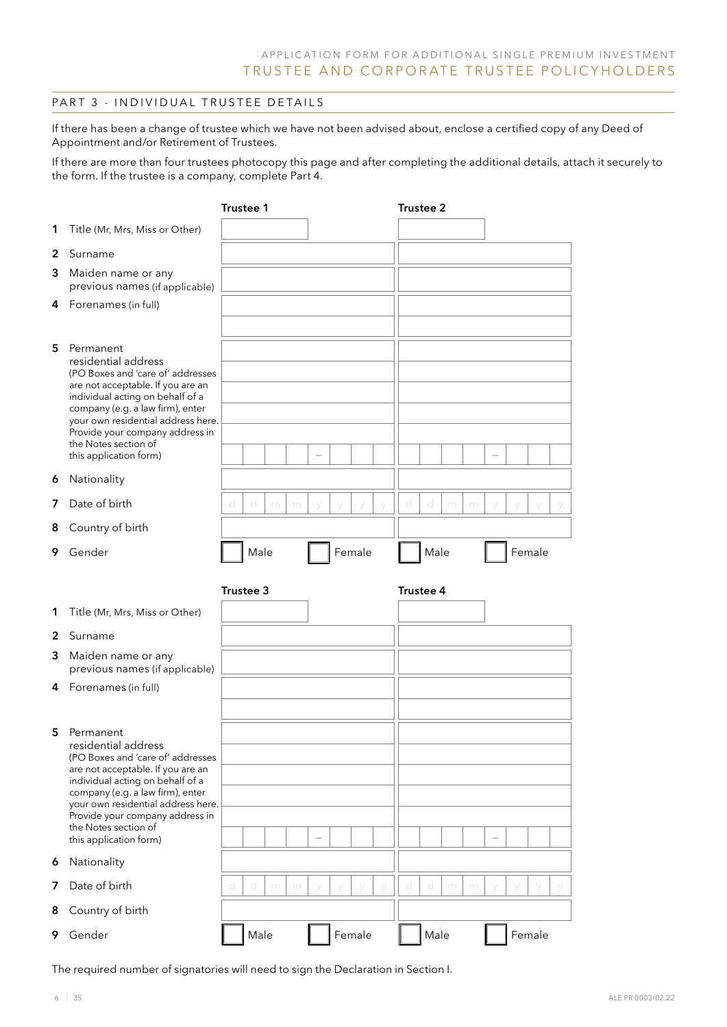### PART 3 - INDIVIDUAL TRUSTEE DETAILS

If there has been a change of trustee which we have not been advised about, enclose a certified copy of any Deed of Appointment and/or Retirement of Trustees.

If there are more than four trustees photocopy this page and after completing the additional details, attach it securely to the form. If the trustee is a company, complete Part 4.

|                  |                                                                                                                                                                                                                                                                                                                                                                   | <b>Trustee 1</b> |                 |   |   |                                    |   |        | <b>Trustee 2</b>   |                |   |   |                          |        |  |
|------------------|-------------------------------------------------------------------------------------------------------------------------------------------------------------------------------------------------------------------------------------------------------------------------------------------------------------------------------------------------------------------|------------------|-----------------|---|---|------------------------------------|---|--------|--------------------|----------------|---|---|--------------------------|--------|--|
| 1                | Title (Mr, Mrs, Miss or Other)                                                                                                                                                                                                                                                                                                                                    |                  |                 |   |   |                                    |   |        |                    |                |   |   |                          |        |  |
| 2                | Surname                                                                                                                                                                                                                                                                                                                                                           |                  |                 |   |   |                                    |   |        |                    |                |   |   |                          |        |  |
| 3                | Maiden name or any<br>previous names (if applicable)                                                                                                                                                                                                                                                                                                              |                  |                 |   |   |                                    |   |        |                    |                |   |   |                          |        |  |
| 4                | Forenames (in full)                                                                                                                                                                                                                                                                                                                                               |                  |                 |   |   |                                    |   |        |                    |                |   |   |                          |        |  |
| 5<br>6<br>7<br>8 | Permanent<br>residential address<br>(PO Boxes and 'care of' addresses<br>are not acceptable. If you are an<br>individual acting on behalf of a<br>company (e.g. a law firm), enter<br>your own residential address here.<br>Provide your company address in<br>the Notes section of<br>this application form)<br>Nationality<br>Date of birth<br>Country of birth | $\hbox{\rm d}$   | $\hbox{\rm cl}$ | m | m | $\overline{\phantom{a}}$<br>$\vee$ |   | $\vee$ | $\circlearrowleft$ | $\hbox{\rm d}$ | m | m | $\overline{\phantom{0}}$ |        |  |
| 9                | Gender                                                                                                                                                                                                                                                                                                                                                            |                  | Male            |   |   |                                    |   | Female |                    | Male           |   |   |                          | Female |  |
|                  |                                                                                                                                                                                                                                                                                                                                                                   |                  |                 |   |   |                                    |   |        |                    |                |   |   |                          |        |  |
| 1                |                                                                                                                                                                                                                                                                                                                                                                   | Trustee 3        |                 |   |   |                                    |   |        | Trustee 4          |                |   |   |                          |        |  |
|                  | Title (Mr, Mrs, Miss or Other)                                                                                                                                                                                                                                                                                                                                    |                  |                 |   |   |                                    |   |        |                    |                |   |   |                          |        |  |
| 2<br>3           | Surname<br>Maiden name or any<br>previous names (if applicable)                                                                                                                                                                                                                                                                                                   |                  |                 |   |   |                                    |   |        |                    |                |   |   |                          |        |  |
| 4                | Forenames (in full)                                                                                                                                                                                                                                                                                                                                               |                  |                 |   |   |                                    |   |        |                    |                |   |   |                          |        |  |
| 5                | Permanent<br>residential address<br>(PO Boxes and 'care of' addresses<br>are not acceptable. If you are an<br>individual acting on behalf of a<br>company (e.g. a law firm), enter<br>your own residential address here.<br>Provide your company address in<br>the Notes section of<br>this application form)                                                     |                  |                 |   |   |                                    |   |        |                    |                |   |   |                          |        |  |
| 6                | Nationality                                                                                                                                                                                                                                                                                                                                                       |                  |                 |   |   |                                    |   |        |                    |                |   |   |                          |        |  |
| 7                | Date of birth                                                                                                                                                                                                                                                                                                                                                     | d                | d               | m | m | У                                  | У | У      | d                  | d              | m | m | y                        |        |  |
| 8                | Country of birth                                                                                                                                                                                                                                                                                                                                                  |                  |                 |   |   |                                    |   |        |                    |                |   |   |                          |        |  |

The required number of signatories will need to sign the Declaration in Section I.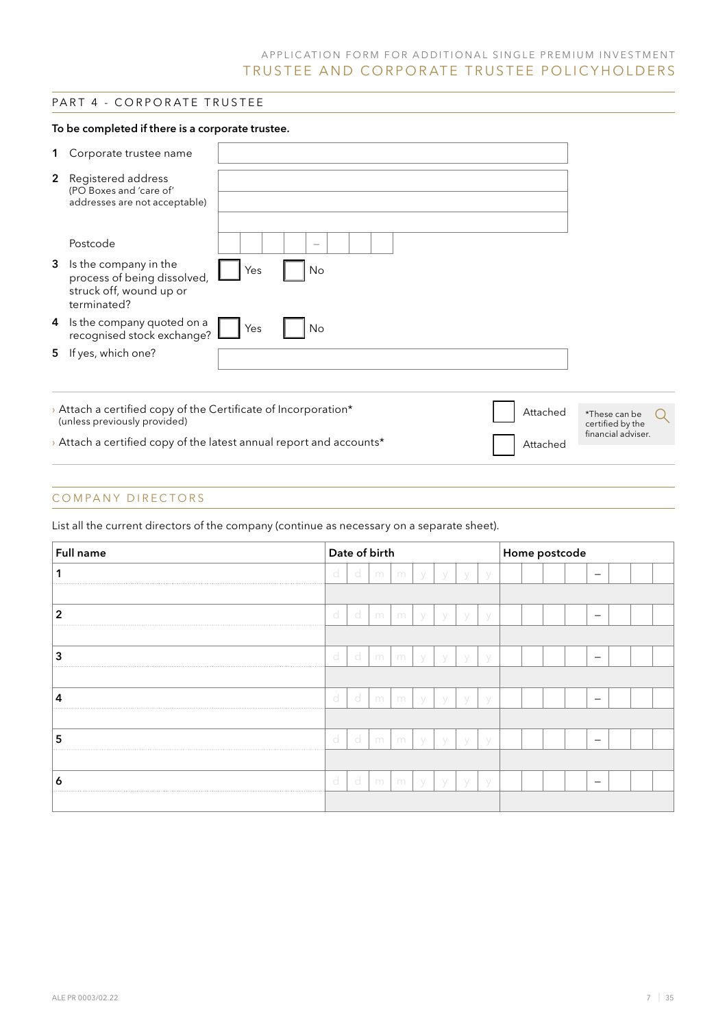### PART 4 - CORPORATE TRUSTEE

#### To be completed if there is a corporate trustee.

| 1 | Corporate trustee name                                                                         |     |    |  |          |                                   |  |
|---|------------------------------------------------------------------------------------------------|-----|----|--|----------|-----------------------------------|--|
|   | <b>2</b> Registered address<br>(PO Boxes and 'care of'<br>addresses are not acceptable)        |     |    |  |          |                                   |  |
|   | Postcode                                                                                       |     |    |  |          |                                   |  |
| 3 | Is the company in the<br>process of being dissolved,<br>struck off, wound up or<br>terminated? | Yes | No |  |          |                                   |  |
| 4 | Is the company quoted on a<br>recognised stock exchange?                                       | Yes | No |  |          |                                   |  |
|   | 5 If yes, which one?                                                                           |     |    |  |          |                                   |  |
|   |                                                                                                |     |    |  |          |                                   |  |
|   | > Attach a certified copy of the Certificate of Incorporation*<br>(unless previously provided) |     |    |  | Attached | *These can be<br>certified by the |  |
|   | > Attach a certified copy of the latest annual report and accounts*                            |     |    |  | Attached | financial adviser.                |  |
|   |                                                                                                |     |    |  |          |                                   |  |

### COMPANY DIRECTORS

List all the current directors of the company (continue as necessary on a separate sheet).

| Full name      |   |    | Date of birth |   |             |             |           |  | Home postcode |                          |  |  |
|----------------|---|----|---------------|---|-------------|-------------|-----------|--|---------------|--------------------------|--|--|
|                | d | d  | m             | m |             |             |           |  |               | -                        |  |  |
|                |   |    |               |   |             |             |           |  |               |                          |  |  |
| $\overline{2}$ | d | -d | m             | m | $\setminus$ | $\sqrt{}$   | $\sqrt{}$ |  |               | $\overline{\phantom{m}}$ |  |  |
|                |   |    |               |   |             |             |           |  |               |                          |  |  |
| 3              | d | -d | m             | m | V           | $\sqrt{}$   | V         |  |               |                          |  |  |
|                |   |    |               |   |             |             |           |  |               |                          |  |  |
| 4              | d | d  | m             | m |             | $\setminus$ | V         |  |               | -                        |  |  |
|                |   |    |               |   |             |             |           |  |               |                          |  |  |
| 5              | d | d  | m             | m | $\setminus$ | $\sqrt{}$   | $\sqrt{}$ |  |               | $\overline{\phantom{0}}$ |  |  |
|                |   |    |               |   |             |             |           |  |               |                          |  |  |
| 6              | d | d  | m             | m | $\sqrt{}$   | $\setminus$ | $\vee$    |  |               |                          |  |  |
|                |   |    |               |   |             |             |           |  |               |                          |  |  |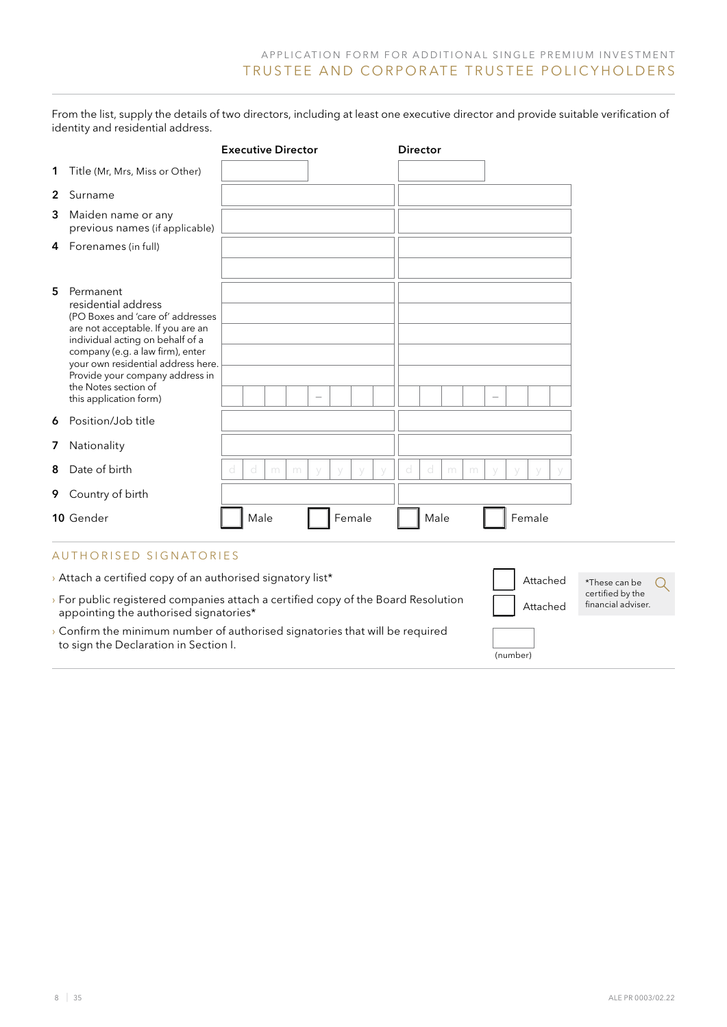(number)

From the list, supply the details of two directors, including at least one executive director and provide suitable verification of identity and residential address.

|   |                                                                                                                                                                                                                          | <b>Executive Director</b> | <b>Director</b>  |          |                                        |
|---|--------------------------------------------------------------------------------------------------------------------------------------------------------------------------------------------------------------------------|---------------------------|------------------|----------|----------------------------------------|
|   | 1 Title (Mr, Mrs, Miss or Other)                                                                                                                                                                                         |                           |                  |          |                                        |
| 2 | Surname                                                                                                                                                                                                                  |                           |                  |          |                                        |
| 3 | Maiden name or any<br>previous names (if applicable)                                                                                                                                                                     |                           |                  |          |                                        |
| 4 | Forenames (in full)                                                                                                                                                                                                      |                           |                  |          |                                        |
| 5 | Permanent<br>residential address<br>(PO Boxes and 'care of' addresses<br>are not acceptable. If you are an<br>individual acting on behalf of a<br>company (e.g. a law firm), enter<br>your own residential address here. |                           |                  |          |                                        |
|   | Provide your company address in<br>the Notes section of<br>this application form)                                                                                                                                        |                           |                  |          |                                        |
| 6 | Position/Job title                                                                                                                                                                                                       |                           |                  |          |                                        |
|   | 7 Nationality                                                                                                                                                                                                            |                           |                  |          |                                        |
| 8 | Date of birth                                                                                                                                                                                                            | d<br>d<br>m<br>m          | d<br>d<br>m<br>m |          |                                        |
|   | 9 Country of birth                                                                                                                                                                                                       |                           |                  |          |                                        |
|   | 10 Gender                                                                                                                                                                                                                | Male<br>Female            | Male             | Female   |                                        |
|   | <b>AUTHORISED SIGNATORIES</b>                                                                                                                                                                                            |                           |                  |          |                                        |
|   | > Attach a certified copy of an authorised signatory list*                                                                                                                                                               |                           |                  | Attached | *These can be<br>Q.                    |
|   | > For public registered companies attach a certified copy of the Board Resolution<br>appointing the authorised signatories*                                                                                              |                           |                  | Attached | certified by the<br>financial adviser. |
|   | > Confirm the minimum number of authorised signatories that will be required<br>to sign the Declaration in Section I.                                                                                                    |                           |                  |          |                                        |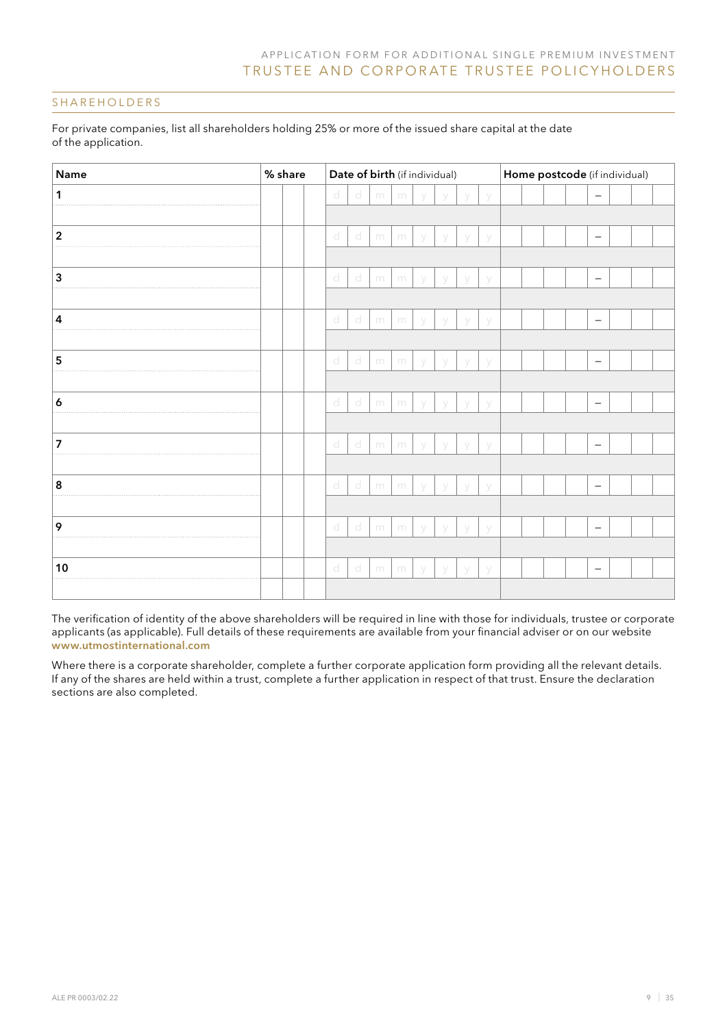### SHAREHOLDERS

| For private companies, list all shareholders holding 25% or more of the issued share capital at the date |  |
|----------------------------------------------------------------------------------------------------------|--|
| of the application.                                                                                      |  |

| Name           | % share | Date of birth (if individual) |   |   |   |   |        |   |   |  | Home postcode (if individual) |  |  |                          |  |  |  |  |
|----------------|---------|-------------------------------|---|---|---|---|--------|---|---|--|-------------------------------|--|--|--------------------------|--|--|--|--|
| 1              |         | d                             | d | m | m | y | V      | y | y |  |                               |  |  | $\overline{\phantom{0}}$ |  |  |  |  |
|                |         |                               |   |   |   |   |        |   |   |  |                               |  |  |                          |  |  |  |  |
| $\mathbf 2$    |         | d                             | d | m | m | y | y      | y | y |  |                               |  |  | $\overline{\phantom{m}}$ |  |  |  |  |
|                |         |                               |   |   |   |   |        |   |   |  |                               |  |  |                          |  |  |  |  |
| 3              |         | d                             | d | m | m | y | У      | y | y |  |                               |  |  | $\overline{\phantom{m}}$ |  |  |  |  |
|                |         |                               |   |   |   |   |        |   |   |  |                               |  |  |                          |  |  |  |  |
| $\overline{4}$ |         | $\mathbf{d}$                  | d | m | m | y | y      | V | У |  |                               |  |  | $\overline{\phantom{m}}$ |  |  |  |  |
|                |         |                               |   |   |   |   |        |   |   |  |                               |  |  |                          |  |  |  |  |
| 5              |         | $\mathbb{C}^1$                | d | m | m | y | y      | V | У |  |                               |  |  | $\overline{\phantom{m}}$ |  |  |  |  |
|                |         |                               |   |   |   |   |        |   |   |  |                               |  |  |                          |  |  |  |  |
| 6              |         | d                             | d | m | m | V | V      | V | У |  |                               |  |  | $\overline{\phantom{m}}$ |  |  |  |  |
|                |         |                               |   |   |   |   |        |   |   |  |                               |  |  |                          |  |  |  |  |
| 7              |         | d                             | d | m | m | V | V      | V | У |  |                               |  |  | $\overline{\phantom{m}}$ |  |  |  |  |
|                |         |                               |   |   |   |   |        |   |   |  |                               |  |  |                          |  |  |  |  |
| 8              |         | d                             | d | m | m | y | y      | V | y |  |                               |  |  | $\overline{\phantom{m}}$ |  |  |  |  |
|                |         |                               |   |   |   |   |        |   |   |  |                               |  |  |                          |  |  |  |  |
| 9              |         | d                             | d | m | m | V | $\vee$ | V | У |  |                               |  |  | $\overline{\phantom{m}}$ |  |  |  |  |
|                |         |                               |   |   |   |   |        |   |   |  |                               |  |  |                          |  |  |  |  |
| 10             |         | d                             | d | m | m | У | y      | V | y |  |                               |  |  | $\overline{\phantom{m}}$ |  |  |  |  |
|                |         |                               |   |   |   |   |        |   |   |  |                               |  |  |                          |  |  |  |  |

The verification of identity of the above shareholders will be required in line with those for individuals, trustee or corporate applicants (as applicable). Full details of these requirements are available from your financial adviser or on our website www.utmostinternational.com

Where there is a corporate shareholder, complete a further corporate application form providing all the relevant details. If any of the shares are held within a trust, complete a further application in respect of that trust. Ensure the declaration sections are also completed.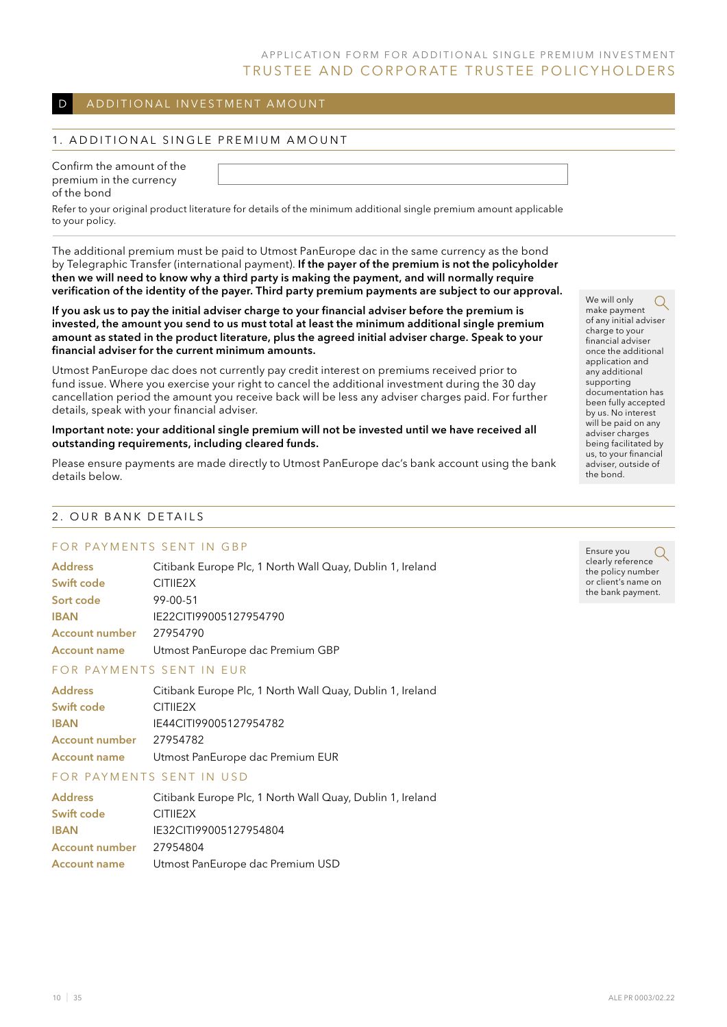### D ADDITIONAL INVESTMENT AMOUNT

#### 1. ADDITIONAL SINGLE PREMIUM AMOUNT

| Confirm the amount of the |
|---------------------------|
| premium in the currency   |
| of the bond               |

Refer to your original product literature for details of the minimum additional single premium amount applicable to your policy.

The additional premium must be paid to Utmost PanEurope dac in the same currency as the bond by Telegraphic Transfer (international payment). If the payer of the premium is not the policyholder then we will need to know why a third party is making the payment, and will normally require verification of the identity of the payer. Third party premium payments are subject to our approval.

If you ask us to pay the initial adviser charge to your financial adviser before the premium is invested, the amount you send to us must total at least the minimum additional single premium amount as stated in the product literature, plus the agreed initial adviser charge. Speak to your financial adviser for the current minimum amounts.

Utmost PanEurope dac does not currently pay credit interest on premiums received prior to fund issue. Where you exercise your right to cancel the additional investment during the 30 day cancellation period the amount you receive back will be less any adviser charges paid. For further details, speak with your financial adviser.

#### Important note: your additional single premium will not be invested until we have received all outstanding requirements, including cleared funds.

Please ensure payments are made directly to Utmost PanEurope dac's bank account using the bank details below.

### 2 . Our bank details

### FOR PAYMENTS SENT IN GBP

| <b>Address</b>        | Citibank Europe Plc, 1 North Wall Quay, Dublin 1, Ireland |
|-----------------------|-----------------------------------------------------------|
| Swift code            | CITIE <sub>2X</sub>                                       |
| Sort code             | 99-00-51                                                  |
| <b>IBAN</b>           | IE22CITI99005127954790                                    |
| <b>Account number</b> | 27954790                                                  |
| <b>Account name</b>   | Utmost PanEurope dac Premium GBP                          |

#### FOR PAYMENTS SENT IN EUR

| <b>Address</b>        | Citibank Europe Plc, 1 North Wall Quay, Dublin 1, Ireland |
|-----------------------|-----------------------------------------------------------|
| Swift code            | CITIE <sub>2X</sub>                                       |
| <b>IBAN</b>           | IE44CITI99005127954782                                    |
| <b>Account number</b> | 27954782                                                  |
| <b>Account name</b>   | Utmost PanEurope dac Premium EUR                          |
|                       |                                                           |

#### FOR PAYMENTS SENT IN USD

| <b>Address</b>      | Citibank Europe Plc, 1 North Wall Quay, Dublin 1, Ireland |
|---------------------|-----------------------------------------------------------|
| Swift code          | CITIE <sub>2X</sub>                                       |
| <b>IBAN</b>         | IE32CITI99005127954804                                    |
| Account number      | 27954804                                                  |
| <b>Account name</b> | Utmost PanEurope dac Premium USD                          |

We will only  $\Omega$ make payment of any initial adviser charge to your financial adviser once the additional application and any additional supporting documentation has been fully accepted by us. No interest will be paid on any adviser charges being facilitated by us, to your financial adviser, outside of the bond.

Ensure you clearly reference the policy number or client's name on the bank payment.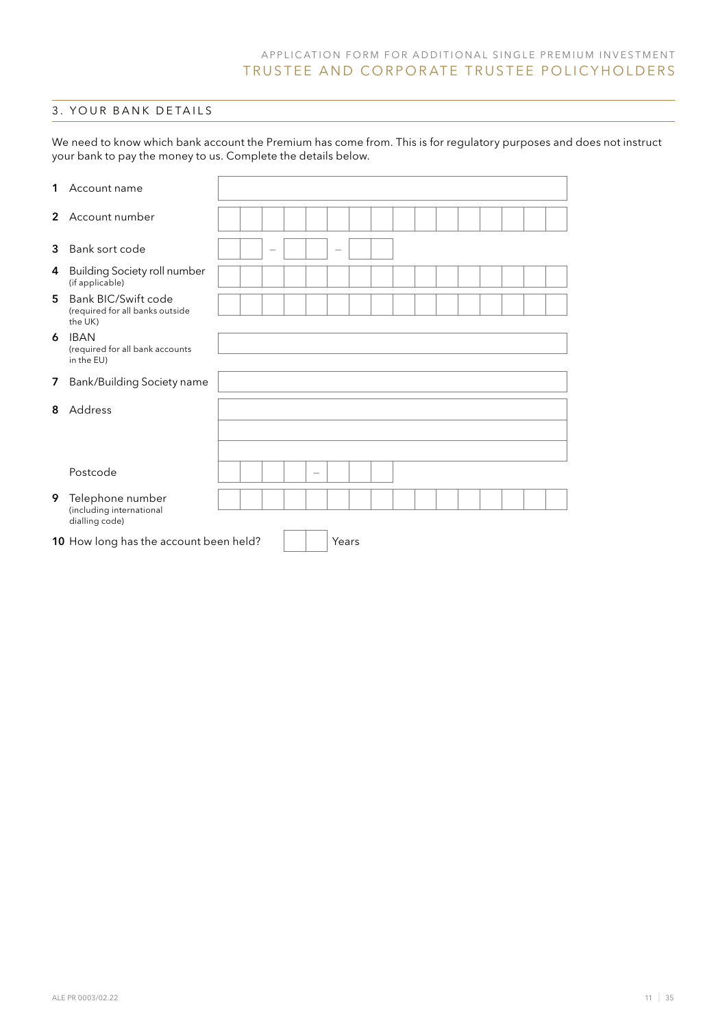### 3 . yOur bank details

We need to know which bank account the Premium has come from. This is for regulatory purposes and does not instruct your bank to pay the money to us. Complete the details below.

| 1              | Account name                                                      |  |  |                          |                          |  |  |  |  |  |
|----------------|-------------------------------------------------------------------|--|--|--------------------------|--------------------------|--|--|--|--|--|
| $\overline{2}$ | Account number                                                    |  |  |                          |                          |  |  |  |  |  |
| 3              | Bank sort code                                                    |  |  |                          | $\overline{\phantom{0}}$ |  |  |  |  |  |
| 4              | <b>Building Society roll number</b><br>(if applicable)            |  |  |                          |                          |  |  |  |  |  |
| 5              | Bank BIC/Swift code<br>(required for all banks outside<br>the UK) |  |  |                          |                          |  |  |  |  |  |
| 6              | <b>IBAN</b><br>(required for all bank accounts<br>in the EU)      |  |  |                          |                          |  |  |  |  |  |
| 7              | Bank/Building Society name                                        |  |  |                          |                          |  |  |  |  |  |
| 8              | Address                                                           |  |  |                          |                          |  |  |  |  |  |
|                | Postcode                                                          |  |  | $\overline{\phantom{0}}$ |                          |  |  |  |  |  |
| 9              | Telephone number<br>(including international<br>dialling code)    |  |  |                          |                          |  |  |  |  |  |
|                | 10 How long has the account been held?                            |  |  |                          | Years                    |  |  |  |  |  |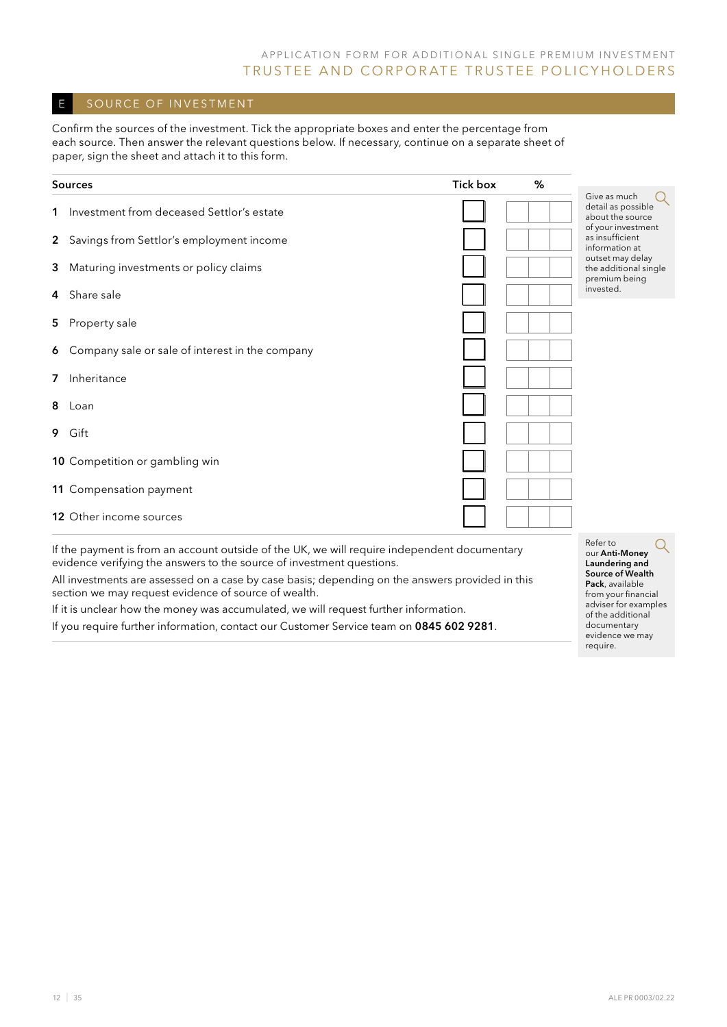### E SOURCE OF INVESTMENT

Confirm the sources of the investment. Tick the appropriate boxes and enter the percentage from each source. Then answer the relevant questions below. If necessary, continue on a separate sheet of paper, sign the sheet and attach it to this form.

|                | <b>Sources</b>                                         | <b>Tick box</b> | % |                                                            |
|----------------|--------------------------------------------------------|-----------------|---|------------------------------------------------------------|
| $\mathbf 1$    | Investment from deceased Settlor's estate              |                 |   | Give as much<br>detail as possible<br>about the source     |
|                | 2 Savings from Settlor's employment income             |                 |   | of your investment<br>as insufficient<br>information at    |
| 3              | Maturing investments or policy claims                  |                 |   | outset may delay<br>the additional single<br>premium being |
| 4              | Share sale                                             |                 |   | invested.                                                  |
| 5              | Property sale                                          |                 |   |                                                            |
| 6              | Company sale or sale of interest in the company        |                 |   |                                                            |
| 7              | Inheritance                                            |                 |   |                                                            |
| 8              | Loan                                                   |                 |   |                                                            |
|                | 9 Gift                                                 |                 |   |                                                            |
|                | 10 Competition or gambling win                         |                 |   |                                                            |
|                | 11 Compensation payment                                |                 |   |                                                            |
|                | <b>12</b> Other income sources                         |                 |   |                                                            |
| $\mathbf{r}$ . | $\cdot$ 11<br>the contract of the contract of the con- | .               |   | Refer to                                                   |

If the payment is from an account outside of the UK, we will require independent documentary evidence verifying the answers to the source of investment questions.

All investments are assessed on a case by case basis; depending on the answers provided in this section we may request evidence of source of wealth.

If it is unclear how the money was accumulated, we will request further information. If you require further information, contact our Customer Service team on 0845 602 9281. our Anti-Money Laundering and Source of Wealth Pack, available from your financial adviser for examples of the additional documentary evidence we may require.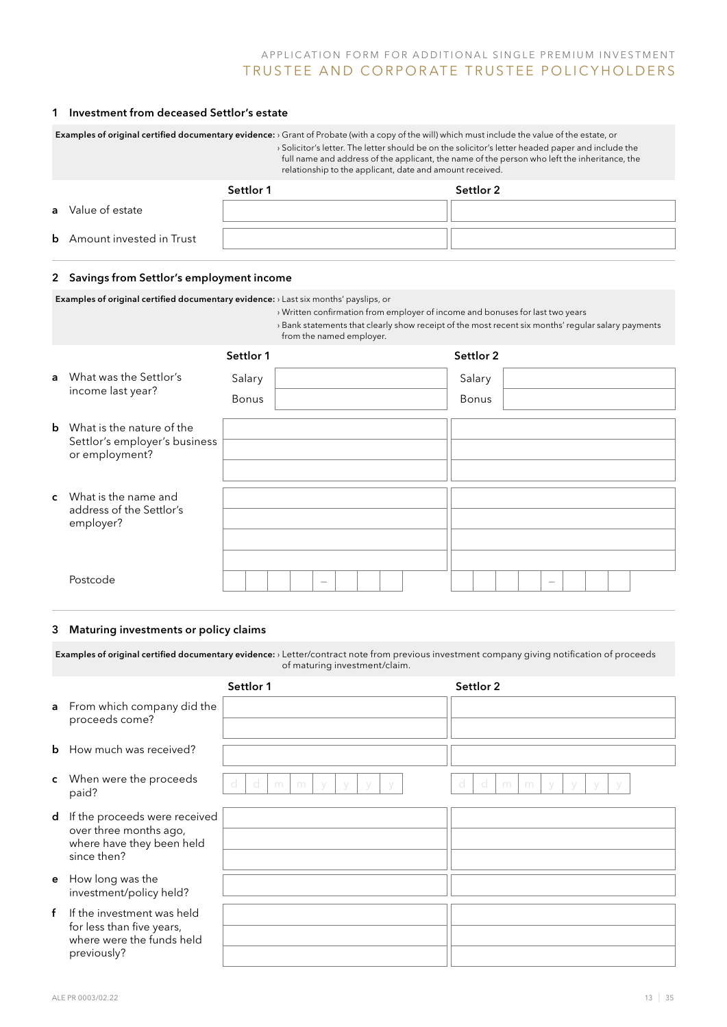#### 1 Investment from deceased Settlor's estate

| <b>Examples of original certified documentary evidence:</b> $\cdot$ Grant of Probate (with a copy of the will) which must include the value of the estate, or<br>> Solicitor's letter. The letter should be on the solicitor's letter headed paper and include the<br>full name and address of the applicant, the name of the person who left the inheritance, the<br>relationship to the applicant, date and amount received. |           |  |           |  |  |  |  |  |  |
|--------------------------------------------------------------------------------------------------------------------------------------------------------------------------------------------------------------------------------------------------------------------------------------------------------------------------------------------------------------------------------------------------------------------------------|-----------|--|-----------|--|--|--|--|--|--|
|                                                                                                                                                                                                                                                                                                                                                                                                                                | Settlor 1 |  | Settlor 2 |  |  |  |  |  |  |
| <b>a</b> Value of estate                                                                                                                                                                                                                                                                                                                                                                                                       |           |  |           |  |  |  |  |  |  |
| <b>b</b> Amount invested in Trust                                                                                                                                                                                                                                                                                                                                                                                              |           |  |           |  |  |  |  |  |  |

#### 2 Savings from Settlor's employment income

Examples of original certified documentary evidence: › Last six months' payslips, or

- › Written confirmation from employer of income and bonuses for last two years
- › Bank statements that clearly show receipt of the most recent six months' regular salary payments from the named employer.

|              |                                                 | Settlor 1 |                                 |  | Settlor 2 |  |                                 |  |  |
|--------------|-------------------------------------------------|-----------|---------------------------------|--|-----------|--|---------------------------------|--|--|
| $\mathsf{a}$ | What was the Settlor's                          | Salary    |                                 |  | Salary    |  |                                 |  |  |
|              | income last year?                               | Bonus     |                                 |  | Bonus     |  |                                 |  |  |
| $\mathbf b$  | What is the nature of the                       |           |                                 |  |           |  |                                 |  |  |
|              | Settlor's employer's business<br>or employment? |           |                                 |  |           |  |                                 |  |  |
|              |                                                 |           |                                 |  |           |  |                                 |  |  |
| $\mathbf{c}$ | What is the name and                            |           |                                 |  |           |  |                                 |  |  |
|              | address of the Settlor's<br>employer?           |           |                                 |  |           |  |                                 |  |  |
|              |                                                 |           |                                 |  |           |  |                                 |  |  |
|              |                                                 |           |                                 |  |           |  |                                 |  |  |
|              | Postcode                                        |           | $\hspace{0.1mm}-\hspace{0.1mm}$ |  |           |  | $\hspace{0.1mm}-\hspace{0.1mm}$ |  |  |

#### 3 Maturing investments or policy claims

Examples of original certified documentary evidence: › Letter/contract note from previous investment company giving notification of proceeds of maturing investment/claim.

|              |                                                                                                     | Settlor 1                                 | Settlor 2                                            |
|--------------|-----------------------------------------------------------------------------------------------------|-------------------------------------------|------------------------------------------------------|
|              | a From which company did the<br>proceeds come?                                                      |                                           |                                                      |
| $\mathbf b$  | How much was received?                                                                              |                                           |                                                      |
| $\mathsf{c}$ | When were the proceeds<br>paid?                                                                     | d<br>- d<br>m<br>m<br>$\sqrt{}$<br>V<br>V | d<br>-d<br>m<br>m<br>$\sqrt{}$<br>$\vee$<br>- V<br>V |
| d            | If the proceeds were received                                                                       |                                           |                                                      |
|              | over three months ago,<br>where have they been held<br>since then?                                  |                                           |                                                      |
| e            | How long was the<br>investment/policy held?                                                         |                                           |                                                      |
| $\mathbf{f}$ | If the investment was held<br>for less than five years,<br>where were the funds held<br>previously? |                                           |                                                      |
|              |                                                                                                     |                                           |                                                      |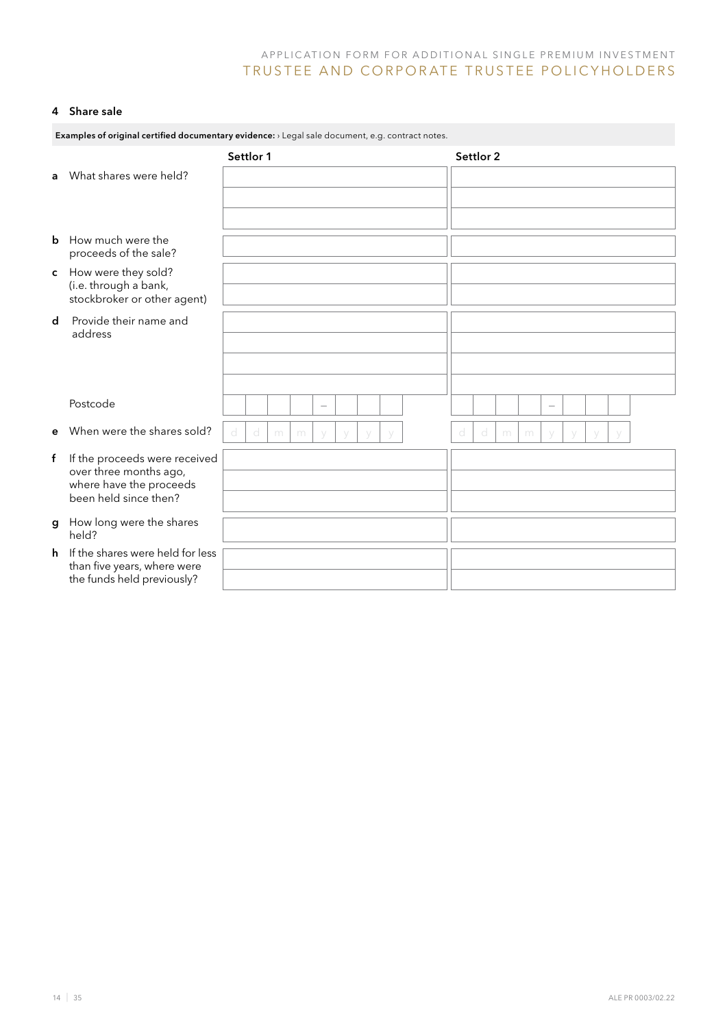### 4 Share sale

|             | Examples of original certified documentary evidence: > Legal sale document, e.g. contract notes. |   |           |   |   |                          |   |  |  |   |           |   |   |        |   |  |  |
|-------------|--------------------------------------------------------------------------------------------------|---|-----------|---|---|--------------------------|---|--|--|---|-----------|---|---|--------|---|--|--|
|             |                                                                                                  |   | Settlor 1 |   |   |                          |   |  |  |   | Settlor 2 |   |   |        |   |  |  |
| a           | What shares were held?                                                                           |   |           |   |   |                          |   |  |  |   |           |   |   |        |   |  |  |
|             |                                                                                                  |   |           |   |   |                          |   |  |  |   |           |   |   |        |   |  |  |
|             |                                                                                                  |   |           |   |   |                          |   |  |  |   |           |   |   |        |   |  |  |
| b           | How much were the<br>proceeds of the sale?                                                       |   |           |   |   |                          |   |  |  |   |           |   |   |        |   |  |  |
| C           | How were they sold?<br>(i.e. through a bank,<br>stockbroker or other agent)                      |   |           |   |   |                          |   |  |  |   |           |   |   |        |   |  |  |
| $\mathbf d$ | Provide their name and<br>address                                                                |   |           |   |   |                          |   |  |  |   |           |   |   |        |   |  |  |
|             |                                                                                                  |   |           |   |   |                          |   |  |  |   |           |   |   |        |   |  |  |
|             |                                                                                                  |   |           |   |   |                          |   |  |  |   |           |   |   |        |   |  |  |
|             | Postcode                                                                                         |   |           |   |   | $\overline{\phantom{0}}$ |   |  |  |   |           |   |   | $\sim$ |   |  |  |
|             | When were the shares sold?                                                                       |   |           |   |   |                          |   |  |  |   |           |   |   |        |   |  |  |
| e           |                                                                                                  | d | d         | m | m | $\vee$                   | V |  |  | d | d         | m | m | $\vee$ | V |  |  |
| f           | If the proceeds were received<br>over three months ago,                                          |   |           |   |   |                          |   |  |  |   |           |   |   |        |   |  |  |
|             | where have the proceeds                                                                          |   |           |   |   |                          |   |  |  |   |           |   |   |        |   |  |  |
|             | been held since then?                                                                            |   |           |   |   |                          |   |  |  |   |           |   |   |        |   |  |  |
| g           | How long were the shares<br>held?                                                                |   |           |   |   |                          |   |  |  |   |           |   |   |        |   |  |  |
| h.          | If the shares were held for less<br>than five years, where were                                  |   |           |   |   |                          |   |  |  |   |           |   |   |        |   |  |  |
|             | the funds held previously?                                                                       |   |           |   |   |                          |   |  |  |   |           |   |   |        |   |  |  |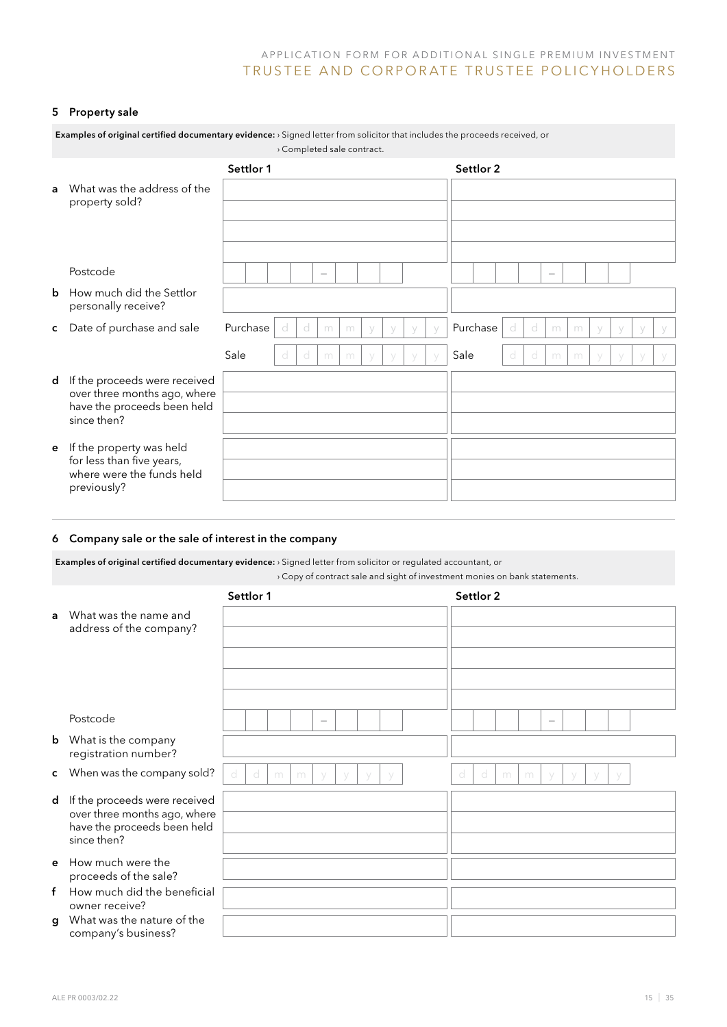#### 5 Property sale

|   | <b>Examples of original certified documentary evidence:</b> > Signed letter from solicitor that includes the proceeds received, or |           |    |                          | > Completed sale contract. |        |             |  |           |   |   |   |   |             |             |  |
|---|------------------------------------------------------------------------------------------------------------------------------------|-----------|----|--------------------------|----------------------------|--------|-------------|--|-----------|---|---|---|---|-------------|-------------|--|
|   |                                                                                                                                    | Settlor 1 |    |                          |                            |        |             |  | Settlor 2 |   |   |   |   |             |             |  |
| a | What was the address of the<br>property sold?                                                                                      |           |    |                          |                            |        |             |  |           |   |   |   |   |             |             |  |
|   |                                                                                                                                    |           |    |                          |                            |        |             |  |           |   |   |   |   |             |             |  |
|   | Postcode                                                                                                                           |           |    | $\overline{\phantom{m}}$ |                            |        |             |  |           |   |   |   |   |             |             |  |
| b | How much did the Settlor<br>personally receive?                                                                                    |           |    |                          |                            |        |             |  |           |   |   |   |   |             |             |  |
| c | Date of purchase and sale                                                                                                          | Purchase  | d  | d                        | m<br>m                     | $\vee$ | $\setminus$ |  | Purchase  | d | d | m | m | $\setminus$ | $\setminus$ |  |
|   |                                                                                                                                    | Sale      | -d | d                        | m<br>m                     | V      |             |  | Sale      | d | d | m | m |             | $\vee$      |  |
| d | If the proceeds were received<br>over three months ago, where<br>have the proceeds been held<br>since then?                        |           |    |                          |                            |        |             |  |           |   |   |   |   |             |             |  |
| е | If the property was held<br>for less than five years,<br>where were the funds held<br>previously?                                  |           |    |                          |                            |        |             |  |           |   |   |   |   |             |             |  |

### 6 Company sale or the sale of interest in the company

Examples of original certified documentary evidence: › Signed letter from solicitor or regulated accountant, or

› Copy of contract sale and sight of investment monies on bank statements.

|    |                                                                                                               | Settlor 1                | Settlor 2        |
|----|---------------------------------------------------------------------------------------------------------------|--------------------------|------------------|
|    | a What was the name and<br>address of the company?                                                            |                          |                  |
|    | Postcode                                                                                                      | $\overline{\phantom{0}}$ | -                |
|    | <b>b</b> What is the company<br>registration number?                                                          |                          |                  |
|    | c When was the company sold?                                                                                  | d<br>d<br>m<br>m         | d<br>d<br>m<br>m |
|    | d If the proceeds were received<br>over three months ago, where<br>have the proceeds been held<br>since then? |                          |                  |
|    | e How much were the<br>proceeds of the sale?                                                                  |                          |                  |
| f. | How much did the beneficial<br>owner receive?                                                                 |                          |                  |
| g  | What was the nature of the<br>company's business?                                                             |                          |                  |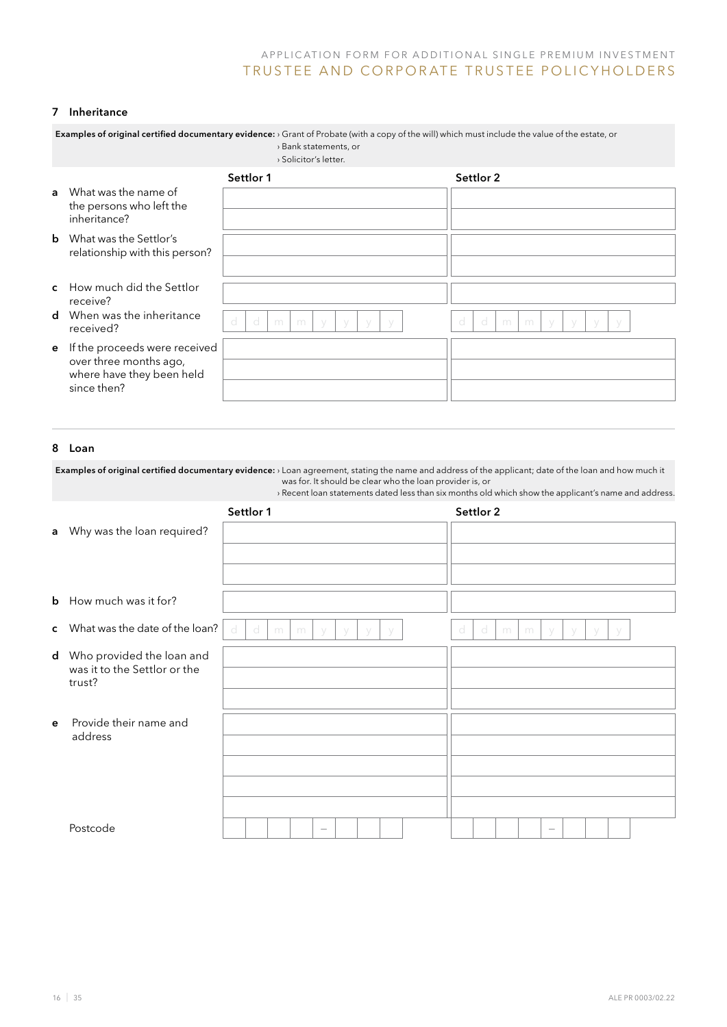#### 7 Inheritance

|                                                         | > Bank statements, or<br>> Solicitor's letter.                      |                                                                                                                                                  |
|---------------------------------------------------------|---------------------------------------------------------------------|--------------------------------------------------------------------------------------------------------------------------------------------------|
|                                                         | Settlor 1                                                           | Settlor 2                                                                                                                                        |
| What was the name of<br>the persons who left the        |                                                                     |                                                                                                                                                  |
|                                                         |                                                                     |                                                                                                                                                  |
| relationship with this person?                          |                                                                     |                                                                                                                                                  |
|                                                         |                                                                     |                                                                                                                                                  |
| How much did the Settlor<br>receive?                    |                                                                     |                                                                                                                                                  |
| When was the inheritance<br>received?                   | d<br>d<br>m<br>m                                                    | d<br>m<br>m                                                                                                                                      |
| If the proceeds were received<br>over three months ago, |                                                                     |                                                                                                                                                  |
| since then?                                             |                                                                     |                                                                                                                                                  |
|                                                         | inheritance?<br>What was the Settlor's<br>where have they been held | Examples of original certified documentary evidence: > Grant of Probate (with a copy of the will) which must include the value of the estate, or |

### 8 Loan

Examples of original certified documentary evidence: > Loan agreement, stating the name and address of the applicant; date of the loan and how much it was for. It should be clear who the loan provider is, or › Recent loan statements dated less than six months old which show the applicant's name and address.

|              |                                                                       | Settlor 1                                             | Settlor 2                            |
|--------------|-----------------------------------------------------------------------|-------------------------------------------------------|--------------------------------------|
|              | a Why was the loan required?                                          |                                                       |                                      |
|              |                                                                       |                                                       |                                      |
|              |                                                                       |                                                       |                                      |
|              | <b>b</b> How much was it for?                                         |                                                       |                                      |
|              | c What was the date of the loan?                                      | d<br>- d<br>m<br>m<br>- V<br>$\vee$<br>$\sqrt{}$<br>V | d<br>d<br>m<br>m<br>V<br>V<br>V<br>V |
|              | d Who provided the loan and<br>was it to the Settlor or the<br>trust? |                                                       |                                      |
|              |                                                                       |                                                       |                                      |
| $\mathbf{e}$ | Provide their name and<br>address                                     |                                                       |                                      |
|              |                                                                       |                                                       |                                      |
|              |                                                                       |                                                       |                                      |
|              |                                                                       |                                                       |                                      |
|              | Postcode                                                              | $\overline{\phantom{a}}$                              |                                      |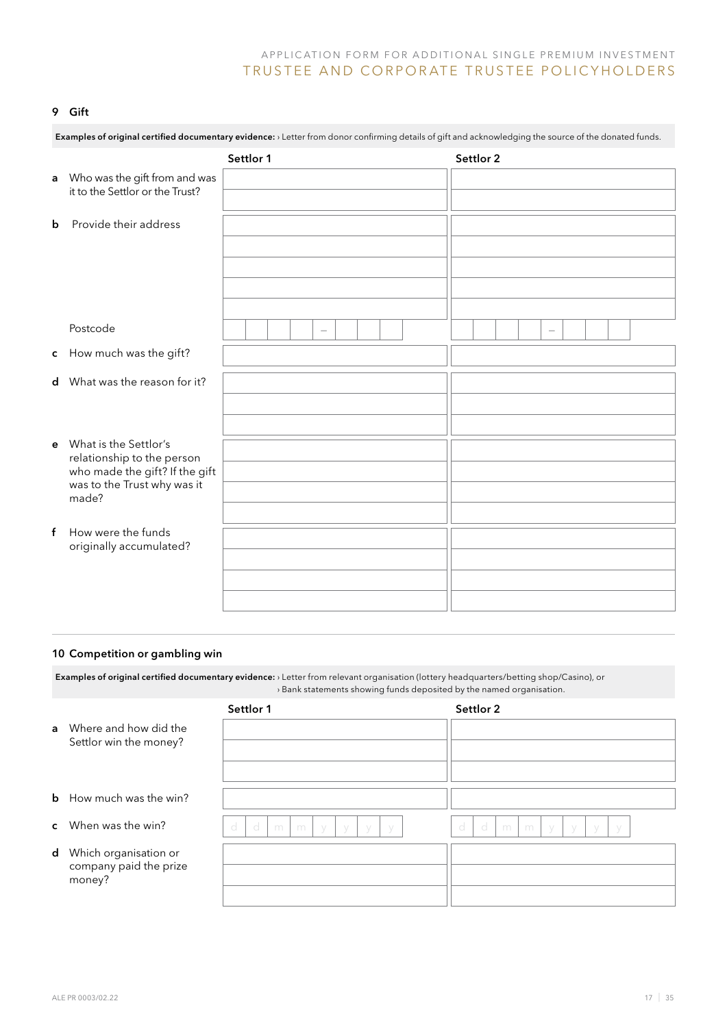#### 9 Gift

|   | Examples of original certified documentary evidence: > Letter from donor confirming details of gift and acknowledging the source of the donated funds. |                                  |                          |  |  |  |  |  |
|---|--------------------------------------------------------------------------------------------------------------------------------------------------------|----------------------------------|--------------------------|--|--|--|--|--|
|   |                                                                                                                                                        | Settlor 1                        | Settlor 2                |  |  |  |  |  |
| a | Who was the gift from and was<br>it to the Settlor or the Trust?                                                                                       |                                  |                          |  |  |  |  |  |
| b | Provide their address                                                                                                                                  |                                  |                          |  |  |  |  |  |
|   |                                                                                                                                                        |                                  |                          |  |  |  |  |  |
|   |                                                                                                                                                        |                                  |                          |  |  |  |  |  |
|   |                                                                                                                                                        |                                  |                          |  |  |  |  |  |
|   | Postcode                                                                                                                                               | $\overbrace{\phantom{12322111}}$ | $\overline{\phantom{a}}$ |  |  |  |  |  |
|   | c How much was the gift?                                                                                                                               |                                  |                          |  |  |  |  |  |
|   | d What was the reason for it?                                                                                                                          |                                  |                          |  |  |  |  |  |
|   |                                                                                                                                                        |                                  |                          |  |  |  |  |  |
|   |                                                                                                                                                        |                                  |                          |  |  |  |  |  |
| e | What is the Settlor's<br>relationship to the person                                                                                                    |                                  |                          |  |  |  |  |  |
|   | who made the gift? If the gift                                                                                                                         |                                  |                          |  |  |  |  |  |
|   | was to the Trust why was it<br>made?                                                                                                                   |                                  |                          |  |  |  |  |  |
|   |                                                                                                                                                        |                                  |                          |  |  |  |  |  |
| f | How were the funds<br>originally accumulated?                                                                                                          |                                  |                          |  |  |  |  |  |
|   |                                                                                                                                                        |                                  |                          |  |  |  |  |  |
|   |                                                                                                                                                        |                                  |                          |  |  |  |  |  |
|   |                                                                                                                                                        |                                  |                          |  |  |  |  |  |

### 10 Competition or gambling win

Examples of original certified documentary evidence: › Letter from relevant organisation (lottery headquarters/betting shop/Casino), or › Bank statements showing funds deposited by the named organisation.

|                                                                    | Settlor 1                                             | Settlor 2                                                   |
|--------------------------------------------------------------------|-------------------------------------------------------|-------------------------------------------------------------|
| <b>a</b> Where and how did the<br>Settlor win the money?           |                                                       |                                                             |
|                                                                    |                                                       |                                                             |
| <b>b</b> How much was the win?                                     |                                                       |                                                             |
| <b>c</b> When was the win?                                         | d<br>d<br>m<br>m<br>- V<br>$\sqrt{}$<br>- V<br>$\vee$ | d<br>- d<br>m<br>m<br>$\sqrt{}$<br>V<br>$\sqrt{}$<br>$\vee$ |
| <b>d</b> Which organisation or<br>company paid the prize<br>money? |                                                       |                                                             |
|                                                                    |                                                       |                                                             |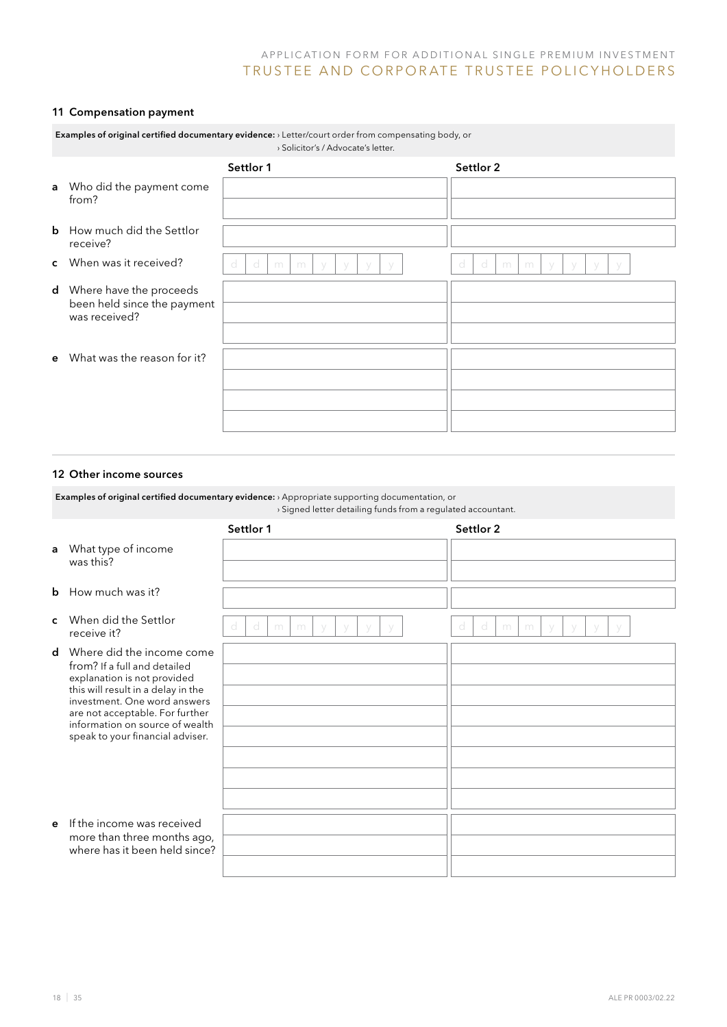### 11 Compensation payment

|              | Examples of original certified documentary evidence: > Letter/court order from compensating body, or<br>> Solicitor's / Advocate's letter. |                               |                                 |  |  |  |  |  |  |  |
|--------------|--------------------------------------------------------------------------------------------------------------------------------------------|-------------------------------|---------------------------------|--|--|--|--|--|--|--|
|              |                                                                                                                                            | Settlor 1                     | Settlor 2                       |  |  |  |  |  |  |  |
| a            | Who did the payment come<br>from?                                                                                                          |                               |                                 |  |  |  |  |  |  |  |
|              | <b>b</b> How much did the Settlor<br>receive?                                                                                              |                               |                                 |  |  |  |  |  |  |  |
|              | <b>c</b> When was it received?                                                                                                             | d<br>d<br>m<br>m<br>$\sqrt{}$ | d<br>d<br>m<br>m<br>$\setminus$ |  |  |  |  |  |  |  |
| d            | Where have the proceeds<br>been held since the payment<br>was received?                                                                    |                               |                                 |  |  |  |  |  |  |  |
|              |                                                                                                                                            |                               |                                 |  |  |  |  |  |  |  |
| $\mathbf{e}$ | What was the reason for it?                                                                                                                |                               |                                 |  |  |  |  |  |  |  |
|              |                                                                                                                                            |                               |                                 |  |  |  |  |  |  |  |
|              |                                                                                                                                            |                               |                                 |  |  |  |  |  |  |  |
|              |                                                                                                                                            |                               |                                 |  |  |  |  |  |  |  |

### 12 Other income sources

Examples of original certified documentary evidence: › Appropriate supporting documentation, or › Signed letter detailing funds from a regulated accountant.

|              |                                                                                                                                                                                                                                                                          | Settlor 1                                     | Settlor 2                     |
|--------------|--------------------------------------------------------------------------------------------------------------------------------------------------------------------------------------------------------------------------------------------------------------------------|-----------------------------------------------|-------------------------------|
| a            | What type of income<br>was this?                                                                                                                                                                                                                                         |                                               |                               |
| $\mathbf b$  | How much was it?                                                                                                                                                                                                                                                         |                                               |                               |
| $\mathbf{C}$ | When did the Settlor<br>receive it?                                                                                                                                                                                                                                      | -d<br>d<br>m<br>m<br>$\sqrt{}$<br>$\setminus$ | d<br>d<br>m<br>m<br>$\sqrt{}$ |
| $\mathbf d$  | Where did the income come<br>from? If a full and detailed<br>explanation is not provided<br>this will result in a delay in the<br>investment. One word answers<br>are not acceptable. For further<br>information on source of wealth<br>speak to your financial adviser. |                                               |                               |
| e            | If the income was received<br>more than three months ago,<br>where has it been held since?                                                                                                                                                                               |                                               |                               |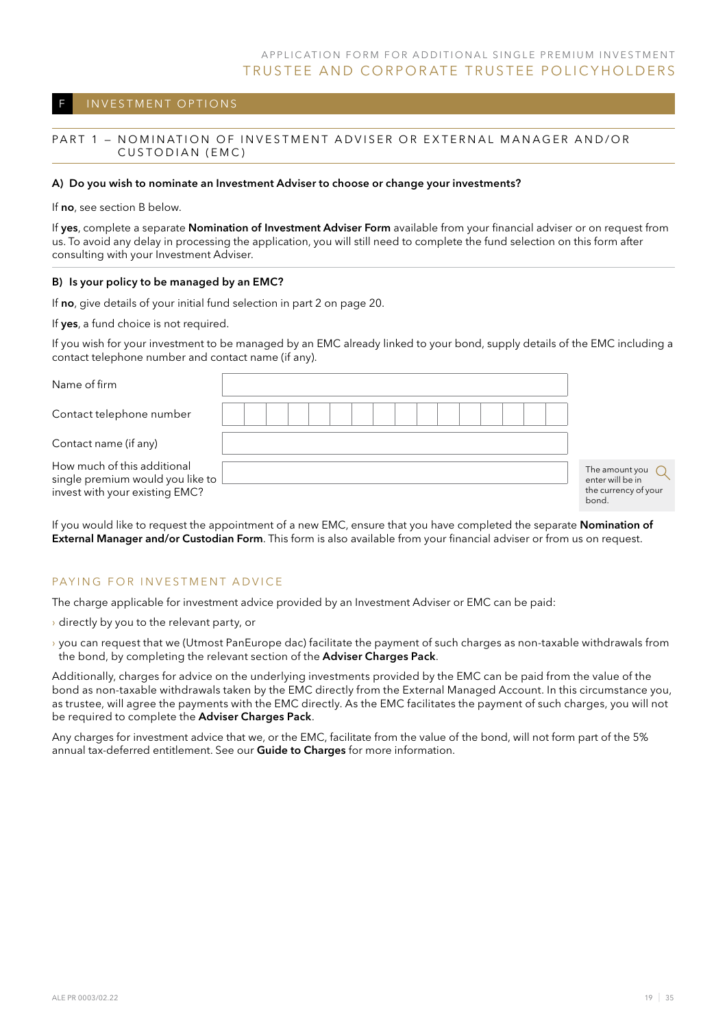### INVESTMENT OPTIONS

#### PART 1 - NOMINATION OF INVESTMENT ADVISER OR EXTERNAL MANAGER AND/OR CUSTODIAN (EMC)

#### A) Do you wish to nominate an Investment Adviser to choose or change your investments?

If no, see section B below.

If yes, complete a separate Nomination of Investment Adviser Form available from your financial adviser or on request from us. To avoid any delay in processing the application, you will still need to complete the fund selection on this form after consulting with your Investment Adviser.

#### B) Is your policy to be managed by an EMC?

If no, give details of your initial fund selection in part 2 on page 20.

If yes, a fund choice is not required.

If you wish for your investment to be managed by an EMC already linked to your bond, supply details of the EMC including a contact telephone number and contact name (if any).

| Name of firm                                                                                      |  |  |  |  |  |  |  |                                                                     |
|---------------------------------------------------------------------------------------------------|--|--|--|--|--|--|--|---------------------------------------------------------------------|
| Contact telephone number                                                                          |  |  |  |  |  |  |  |                                                                     |
| Contact name (if any)                                                                             |  |  |  |  |  |  |  |                                                                     |
| How much of this additional<br>single premium would you like to<br>invest with your existing EMC? |  |  |  |  |  |  |  | The amount you<br>enter will be in<br>the currency of your<br>bond. |

If you would like to request the appointment of a new EMC, ensure that you have completed the separate Nomination of External Manager and/or Custodian Form. This form is also available from your financial adviser or from us on request.

#### PAYING FOR INVESTMENT ADVICE

The charge applicable for investment advice provided by an Investment Adviser or EMC can be paid:

- › directly by you to the relevant party, or
- › you can request that we (Utmost PanEurope dac) facilitate the payment of such charges as non-taxable withdrawals from the bond, by completing the relevant section of the Adviser Charges Pack.

Additionally, charges for advice on the underlying investments provided by the EMC can be paid from the value of the bond as non-taxable withdrawals taken by the EMC directly from the External Managed Account. In this circumstance you, as trustee, will agree the payments with the EMC directly. As the EMC facilitates the payment of such charges, you will not be required to complete the Adviser Charges Pack.

Any charges for investment advice that we, or the EMC, facilitate from the value of the bond, will not form part of the 5% annual tax-deferred entitlement. See our Guide to Charges for more information.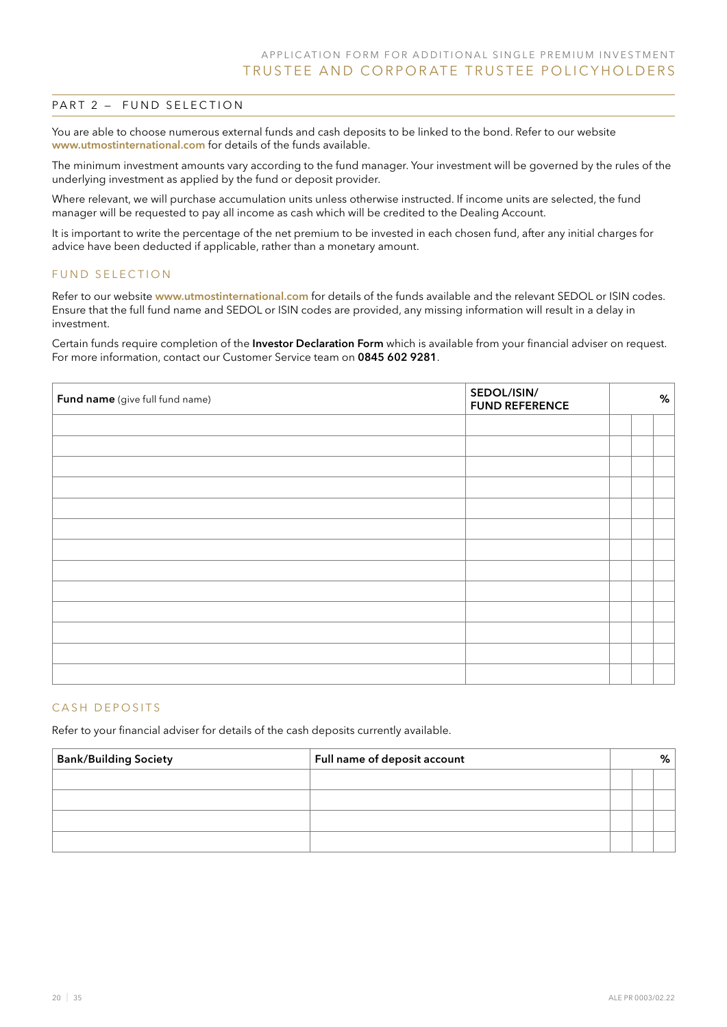#### PART 2 - FUND SELECTION

You are able to choose numerous external funds and cash deposits to be linked to the bond. Refer to our website www.utmostinternational.com for details of the funds available.

The minimum investment amounts vary according to the fund manager. Your investment will be governed by the rules of the underlying investment as applied by the fund or deposit provider.

Where relevant, we will purchase accumulation units unless otherwise instructed. If income units are selected, the fund manager will be requested to pay all income as cash which will be credited to the Dealing Account.

It is important to write the percentage of the net premium to be invested in each chosen fund, after any initial charges for advice have been deducted if applicable, rather than a monetary amount.

#### FUND SELECTION

Refer to our website www.utmostinternational.com for details of the funds available and the relevant SEDOL or ISIN codes. Ensure that the full fund name and SEDOL or ISIN codes are provided, any missing information will result in a delay in investment.

Certain funds require completion of the Investor Declaration Form which is available from your financial adviser on request. For more information, contact our Customer Service team on 0845 602 9281.

| SEDOL/ISIN/<br>Fund name (give full fund name)<br><b>FUND REFERENCE</b> |  |  |  |  |  |
|-------------------------------------------------------------------------|--|--|--|--|--|
|                                                                         |  |  |  |  |  |
|                                                                         |  |  |  |  |  |
|                                                                         |  |  |  |  |  |
|                                                                         |  |  |  |  |  |
|                                                                         |  |  |  |  |  |
|                                                                         |  |  |  |  |  |
|                                                                         |  |  |  |  |  |
|                                                                         |  |  |  |  |  |
|                                                                         |  |  |  |  |  |
|                                                                         |  |  |  |  |  |
|                                                                         |  |  |  |  |  |
|                                                                         |  |  |  |  |  |
|                                                                         |  |  |  |  |  |

#### CASH DEPOSITS

Refer to your financial adviser for details of the cash deposits currently available.

| <b>Bank/Building Society</b> | Full name of deposit account |  | ℅ |  |
|------------------------------|------------------------------|--|---|--|
|                              |                              |  |   |  |
|                              |                              |  |   |  |
|                              |                              |  |   |  |
|                              |                              |  |   |  |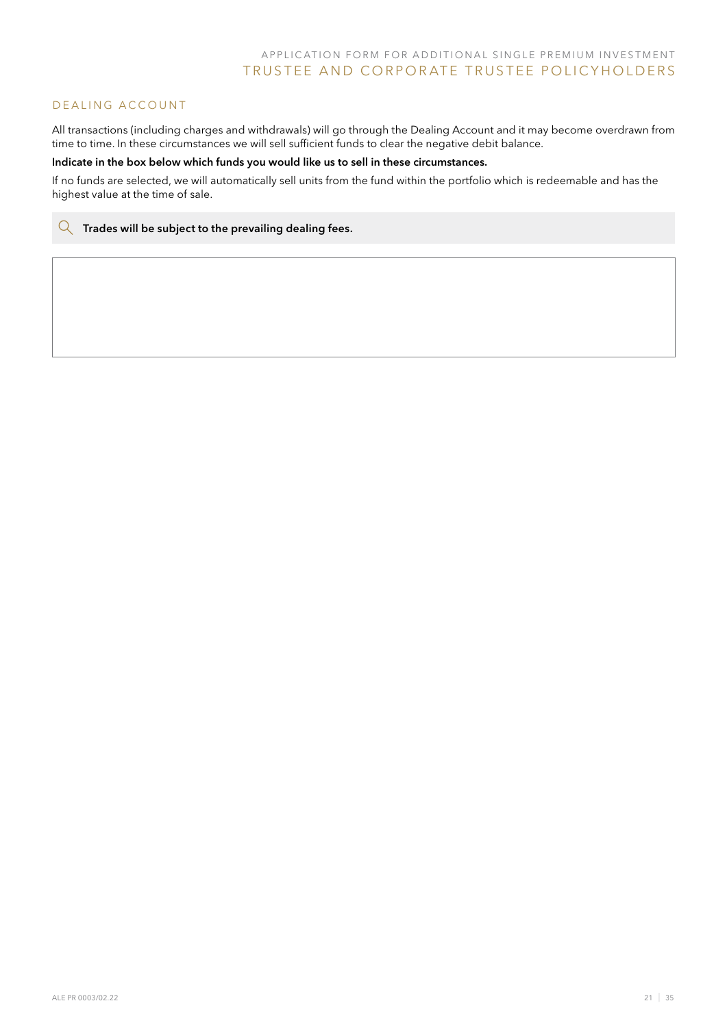### DEALING ACCOUNT

All transactions (including charges and withdrawals) will go through the Dealing Account and it may become overdrawn from time to time. In these circumstances we will sell sufficient funds to clear the negative debit balance.

#### Indicate in the box below which funds you would like us to sell in these circumstances.

If no funds are selected, we will automatically sell units from the fund within the portfolio which is redeemable and has the highest value at the time of sale.

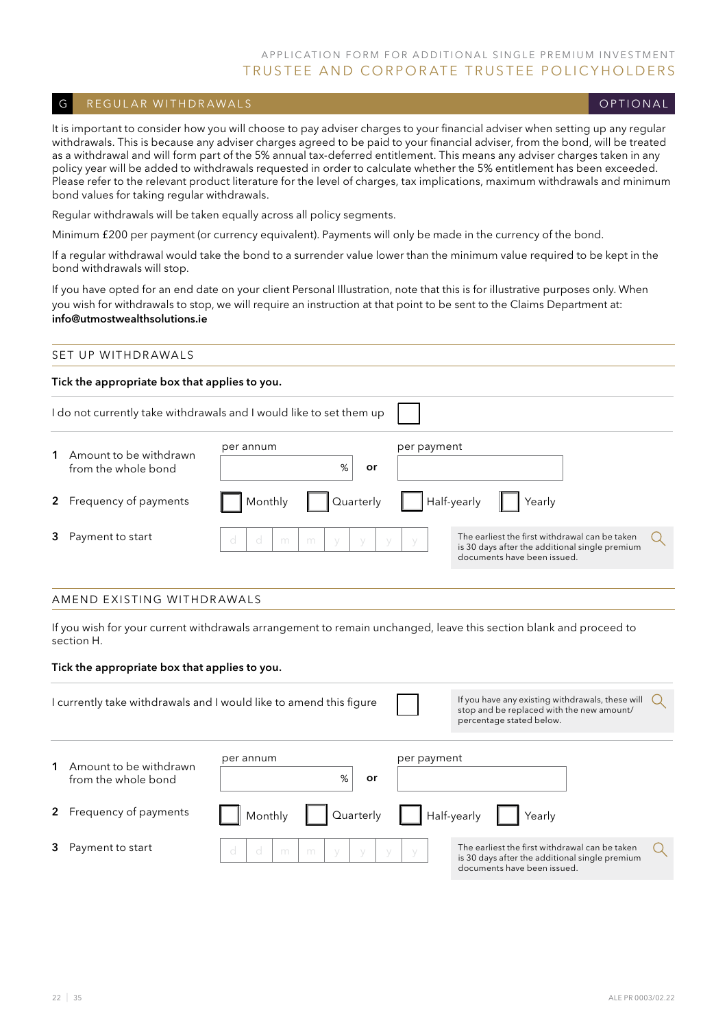### G REGULAR WITHDRAWALS CONTROLLED THE CONTROL CONTROL CONTROLLER CONTROLLER CONTROLLER CONTROLLER CONTROLLER CO

It is important to consider how you will choose to pay adviser charges to your financial adviser when setting up any regular withdrawals. This is because any adviser charges agreed to be paid to your financial adviser, from the bond, will be treated as a withdrawal and will form part of the 5% annual tax-deferred entitlement. This means any adviser charges taken in any policy year will be added to withdrawals requested in order to calculate whether the 5% entitlement has been exceeded. Please refer to the relevant product literature for the level of charges, tax implications, maximum withdrawals and minimum bond values for taking regular withdrawals.

Regular withdrawals will be taken equally across all policy segments.

Minimum £200 per payment (or currency equivalent). Payments will only be made in the currency of the bond.

If a regular withdrawal would take the bond to a surrender value lower than the minimum value required to be kept in the bond withdrawals will stop.

If you have opted for an end date on your client Personal Illustration, note that this is for illustrative purposes only. When you wish for withdrawals to stop, we will require an instruction at that point to be sent to the Claims Department at: info@utmostwealthsolutions.ie

### SET UP WITHDRAWALS

#### Tick the appropriate box that applies to you.

|                         | I do not currently take withdrawals and I would like to set them up |             |                                                                                                                                 |  |  |  |  |
|-------------------------|---------------------------------------------------------------------|-------------|---------------------------------------------------------------------------------------------------------------------------------|--|--|--|--|
| Amount to be withdrawn  | per annum                                                           | per payment |                                                                                                                                 |  |  |  |  |
| from the whole bond     | %<br>or                                                             |             |                                                                                                                                 |  |  |  |  |
| 2 Frequency of payments | Quarterly<br>Monthly                                                | Half-yearly | Yearly                                                                                                                          |  |  |  |  |
| Payment to start        | d<br>d<br>m<br>m<br>$\setminus$                                     |             | The earliest the first withdrawal can be taken<br>is 30 days after the additional single premium<br>documents have been issued. |  |  |  |  |

#### Amend existing withdrawals

If you wish for your current withdrawals arrangement to remain unchanged, leave this section blank and proceed to section H.

#### Tick the appropriate box that applies to you.

|             |                                               | I currently take withdrawals and I would like to amend this figure |             | If you have any existing withdrawals, these will<br>stop and be replaced with the new amount/<br>percentage stated below.       |  |
|-------------|-----------------------------------------------|--------------------------------------------------------------------|-------------|---------------------------------------------------------------------------------------------------------------------------------|--|
|             | Amount to be withdrawn<br>from the whole bond | per annum<br>%<br>or                                               | per payment |                                                                                                                                 |  |
| $2^{\circ}$ | Frequency of payments                         | Monthly<br>Quarterly                                               |             | Half-yearly<br>Yearly                                                                                                           |  |
|             | Payment to start                              | d<br>d<br>m<br>m<br>$\sqrt{}$<br>$\vee$                            |             | The earliest the first withdrawal can be taken<br>is 30 days after the additional single premium<br>documents have been issued. |  |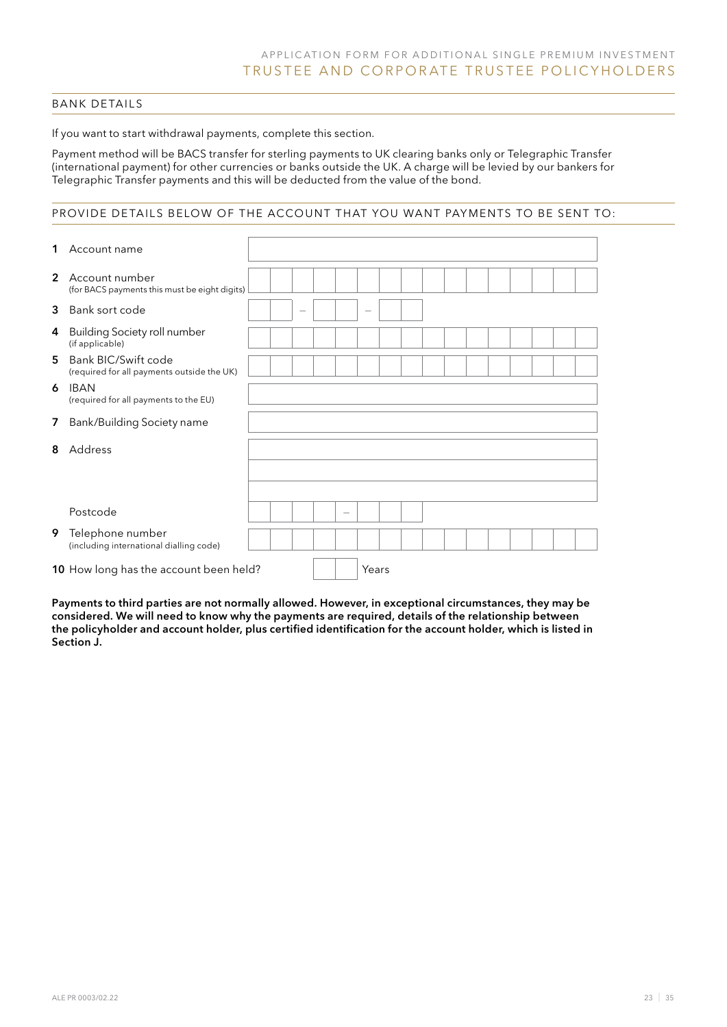### Bank details

If you want to start withdrawal payments, complete this section.

Payment method will be BACS transfer for sterling payments to UK clearing banks only or Telegraphic Transfer (international payment) for other currencies or banks outside the UK. A charge will be levied by our bankers for Telegraphic Transfer payments and this will be deducted from the value of the bond.

### provide details below of the account that you want payments to be sent to:

| 1              | Account name                                                      |  |   |                                 |       |  |  |  |  |  |
|----------------|-------------------------------------------------------------------|--|---|---------------------------------|-------|--|--|--|--|--|
| $\overline{2}$ | Account number<br>(for BACS payments this must be eight digits)   |  |   |                                 |       |  |  |  |  |  |
| 3              | Bank sort code                                                    |  | - |                                 |       |  |  |  |  |  |
| 4              | <b>Building Society roll number</b><br>(if applicable)            |  |   |                                 |       |  |  |  |  |  |
| 5.             | Bank BIC/Swift code<br>(required for all payments outside the UK) |  |   |                                 |       |  |  |  |  |  |
| 6              | IBAN<br>(required for all payments to the EU)                     |  |   |                                 |       |  |  |  |  |  |
| 7              | Bank/Building Society name                                        |  |   |                                 |       |  |  |  |  |  |
| 8              | Address                                                           |  |   |                                 |       |  |  |  |  |  |
|                |                                                                   |  |   |                                 |       |  |  |  |  |  |
|                | Postcode                                                          |  |   | $\hspace{0.1mm}-\hspace{0.1mm}$ |       |  |  |  |  |  |
| 9              | Telephone number<br>(including international dialling code)       |  |   |                                 |       |  |  |  |  |  |
|                | 10 How long has the account been held?                            |  |   |                                 | Years |  |  |  |  |  |

Payments to third parties are not normally allowed. However, in exceptional circumstances, they may be considered. We will need to know why the payments are required, details of the relationship between the policyholder and account holder, plus certified identification for the account holder, which is listed in Section J.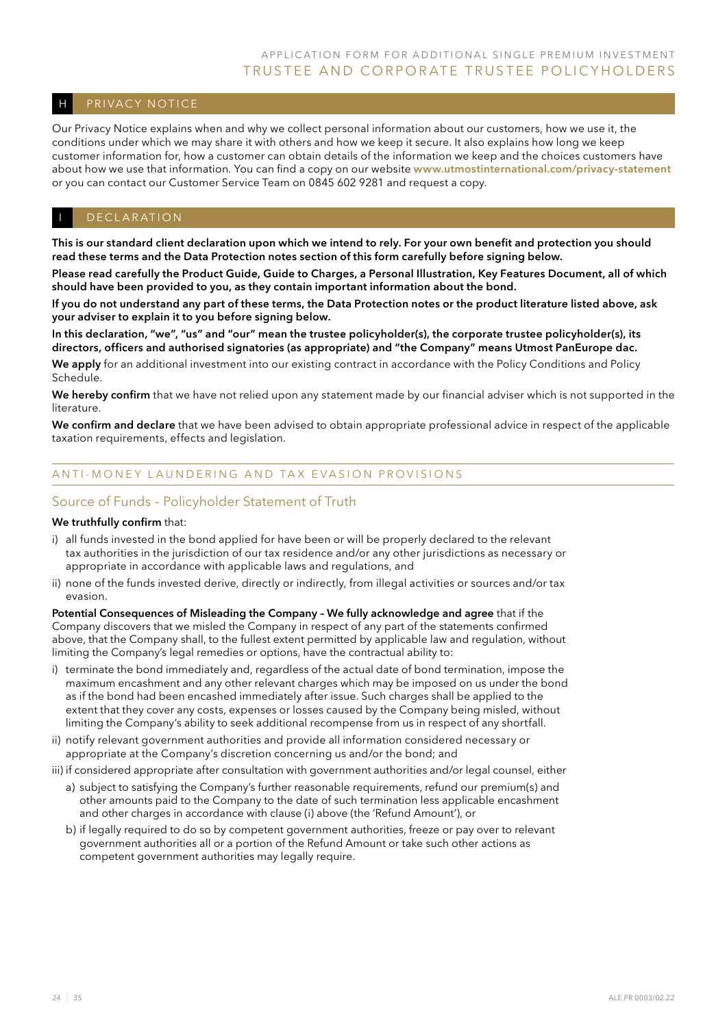### H PRIVACY NOTICE

Our Privacy Notice explains when and why we collect personal information about our customers, how we use it, the conditions under which we may share it with others and how we keep it secure. It also explains how long we keep customer information for, how a customer can obtain details of the information we keep and the choices customers have about how we use that information. You can find a copy on our website www.utmostinternational.com/privacy-statement or you can contact our Customer Service Team on 0845 602 9281 and request a copy.

#### DECLARATION

This is our standard client declaration upon which we intend to rely. For your own benefit and protection you should read these terms and the Data Protection notes section of this form carefully before signing below.

Please read carefully the Product Guide, Guide to Charges, a Personal Illustration, Key Features Document, all of which should have been provided to you, as they contain important information about the bond.

If you do not understand any part of these terms, the Data Protection notes or the product literature listed above, ask your adviser to explain it to you before signing below.

In this declaration, "we", "us" and "our" mean the trustee policyholder(s), the corporate trustee policyholder(s), its directors, officers and authorised signatories (as appropriate) and "the Company" means Utmost PanEurope dac.

We apply for an additional investment into our existing contract in accordance with the Policy Conditions and Policy Schedule.

We hereby confirm that we have not relied upon any statement made by our financial adviser which is not supported in the literature.

We confirm and declare that we have been advised to obtain appropriate professional advice in respect of the applicable taxation requirements, effects and legislation.

### ANTI-MONEY LAUNDERING AND TAX EVASION PROVISIONS

### Source of Funds – Policyholder Statement of Truth

#### We truthfully confirm that:

- i) all funds invested in the bond applied for have been or will be properly declared to the relevant tax authorities in the jurisdiction of our tax residence and/or any other jurisdictions as necessary or appropriate in accordance with applicable laws and regulations, and
- ii) none of the funds invested derive, directly or indirectly, from illegal activities or sources and/or tax evasion.

Potential Consequences of Misleading the Company – We fully acknowledge and agree that if the Company discovers that we misled the Company in respect of any part of the statements confirmed above, that the Company shall, to the fullest extent permitted by applicable law and regulation, without limiting the Company's legal remedies or options, have the contractual ability to:

- i) terminate the bond immediately and, regardless of the actual date of bond termination, impose the maximum encashment and any other relevant charges which may be imposed on us under the bond as if the bond had been encashed immediately after issue. Such charges shall be applied to the extent that they cover any costs, expenses or losses caused by the Company being misled, without limiting the Company's ability to seek additional recompense from us in respect of any shortfall.
- ii) notify relevant government authorities and provide all information considered necessary or appropriate at the Company's discretion concerning us and/or the bond; and
- iii) if considered appropriate after consultation with government authorities and/or legal counsel, either
	- a) subject to satisfying the Company's further reasonable requirements, refund our premium(s) and other amounts paid to the Company to the date of such termination less applicable encashment and other charges in accordance with clause (i) above (the 'Refund Amount'), or
	- b) if legally required to do so by competent government authorities, freeze or pay over to relevant government authorities all or a portion of the Refund Amount or take such other actions as competent government authorities may legally require.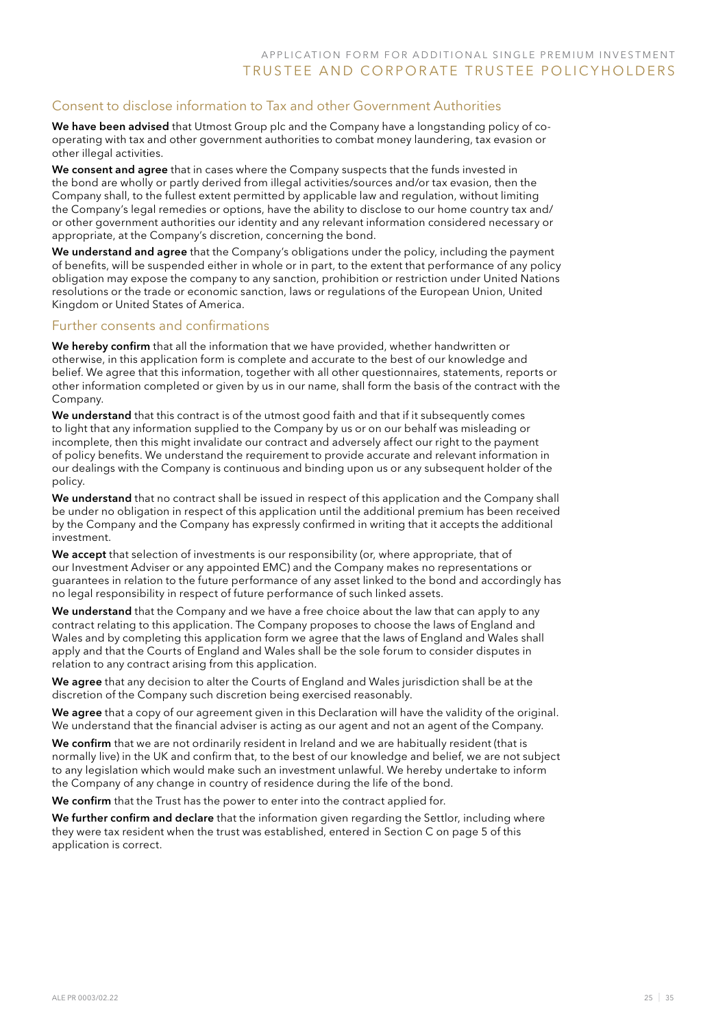### Consent to disclose information to Tax and other Government Authorities

We have been advised that Utmost Group plc and the Company have a longstanding policy of cooperating with tax and other government authorities to combat money laundering, tax evasion or other illegal activities.

We consent and agree that in cases where the Company suspects that the funds invested in the bond are wholly or partly derived from illegal activities/sources and/or tax evasion, then the Company shall, to the fullest extent permitted by applicable law and regulation, without limiting the Company's legal remedies or options, have the ability to disclose to our home country tax and/ or other government authorities our identity and any relevant information considered necessary or appropriate, at the Company's discretion, concerning the bond.

We understand and agree that the Company's obligations under the policy, including the payment of benefits, will be suspended either in whole or in part, to the extent that performance of any policy obligation may expose the company to any sanction, prohibition or restriction under United Nations resolutions or the trade or economic sanction, laws or regulations of the European Union, United Kingdom or United States of America.

### Further consents and confirmations

We hereby confirm that all the information that we have provided, whether handwritten or otherwise, in this application form is complete and accurate to the best of our knowledge and belief. We agree that this information, together with all other questionnaires, statements, reports or other information completed or given by us in our name, shall form the basis of the contract with the Company.

We understand that this contract is of the utmost good faith and that if it subsequently comes to light that any information supplied to the Company by us or on our behalf was misleading or incomplete, then this might invalidate our contract and adversely affect our right to the payment of policy benefits. We understand the requirement to provide accurate and relevant information in our dealings with the Company is continuous and binding upon us or any subsequent holder of the policy.

We understand that no contract shall be issued in respect of this application and the Company shall be under no obligation in respect of this application until the additional premium has been received by the Company and the Company has expressly confirmed in writing that it accepts the additional investment.

We accept that selection of investments is our responsibility (or, where appropriate, that of our Investment Adviser or any appointed EMC) and the Company makes no representations or guarantees in relation to the future performance of any asset linked to the bond and accordingly has no legal responsibility in respect of future performance of such linked assets.

We understand that the Company and we have a free choice about the law that can apply to any contract relating to this application. The Company proposes to choose the laws of England and Wales and by completing this application form we agree that the laws of England and Wales shall apply and that the Courts of England and Wales shall be the sole forum to consider disputes in relation to any contract arising from this application.

We agree that any decision to alter the Courts of England and Wales jurisdiction shall be at the discretion of the Company such discretion being exercised reasonably.

We agree that a copy of our agreement given in this Declaration will have the validity of the original. We understand that the financial adviser is acting as our agent and not an agent of the Company.

We confirm that we are not ordinarily resident in Ireland and we are habitually resident (that is normally live) in the UK and confirm that, to the best of our knowledge and belief, we are not subject to any legislation which would make such an investment unlawful. We hereby undertake to inform the Company of any change in country of residence during the life of the bond.

We confirm that the Trust has the power to enter into the contract applied for.

We further confirm and declare that the information given regarding the Settlor, including where they were tax resident when the trust was established, entered in Section C on page 5 of this application is correct.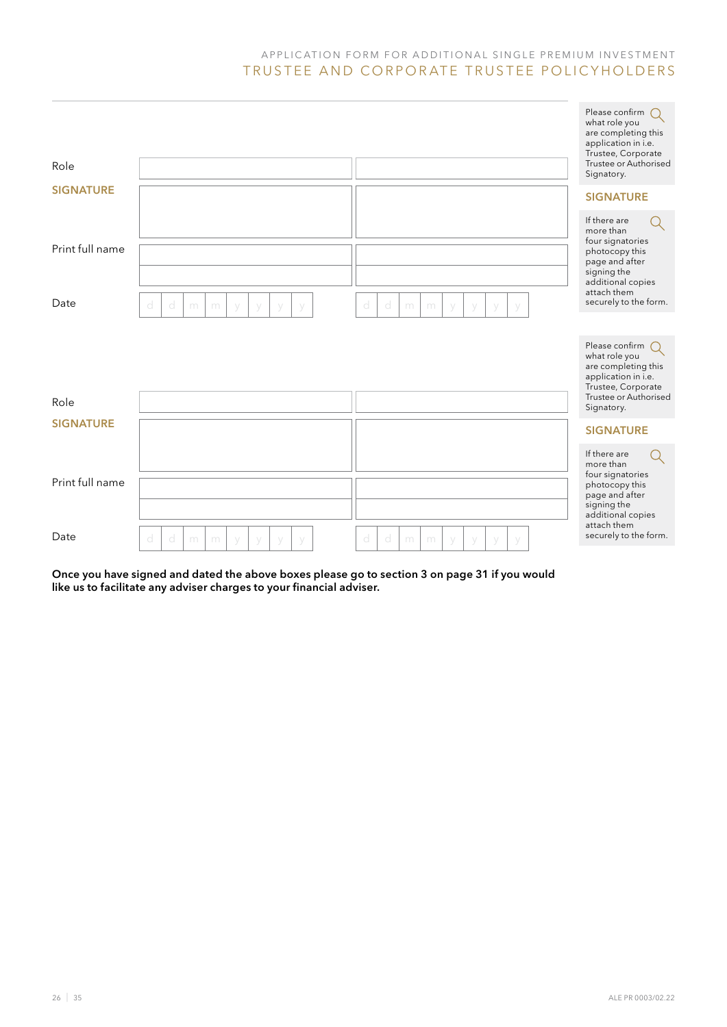| Role             |                                           |                                                | Please confirm<br>$\bigcap$<br>what role you<br>are completing this<br>application in i.e.<br>Trustee, Corporate<br>Trustee or Authorised<br>Signatory. |
|------------------|-------------------------------------------|------------------------------------------------|---------------------------------------------------------------------------------------------------------------------------------------------------------|
| <b>SIGNATURE</b> |                                           |                                                | <b>SIGNATURE</b>                                                                                                                                        |
| Print full name  |                                           |                                                | If there are<br>more than<br>four signatories<br>photocopy this<br>page and after<br>signing the<br>additional copies<br>attach them                    |
| Date             | d<br>d<br>m<br>m<br>V<br>V<br>У<br>$\vee$ | d<br>d<br>m<br>m<br>V<br>y<br>V<br>$\vee$      | securely to the form.                                                                                                                                   |
|                  |                                           |                                                |                                                                                                                                                         |
|                  |                                           |                                                | Please confirm<br>what role you<br>are completing this<br>application in i.e.<br>Trustee, Corporate                                                     |
| Role             |                                           |                                                | Trustee or Authorised<br>Signatory.                                                                                                                     |
| <b>SIGNATURE</b> |                                           |                                                | <b>SIGNATURE</b>                                                                                                                                        |
|                  |                                           |                                                | If there are<br>more than                                                                                                                               |
| Print full name  |                                           |                                                | four signatories<br>photocopy this<br>page and after<br>signing the<br>additional copies                                                                |
| Date             | d<br>d<br>m<br>m<br>$\vee$<br>V<br>y      | d<br>d<br>m<br>m<br>y<br>$\vee$<br>y<br>$\vee$ | attach them<br>securely to the form.                                                                                                                    |

Once you have signed and dated the above boxes please go to section 3 on page 31 if you would like us to facilitate any adviser charges to your financial adviser.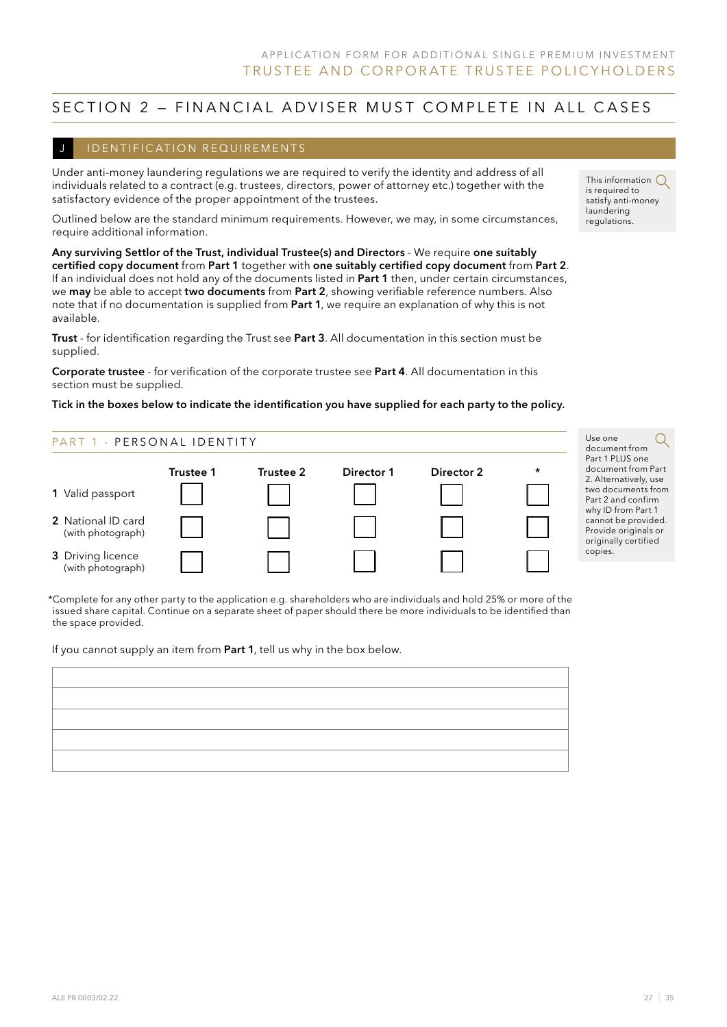### SECTION 2 - FINANCIAL ADVISER MUST COMPLETE IN ALL CASES

#### I DENTIFICATION REQUIREMENTS

Under anti-money laundering regulations we are required to verify the identity and address of all individuals related to a contract (e.g. trustees, directors, power of attorney etc.) together with the satisfactory evidence of the proper appointment of the trustees.

Outlined below are the standard minimum requirements. However, we may, in some circumstances, require additional information.

Any surviving Settlor of the Trust, individual Trustee(s) and Directors - We require one suitably certified copy document from Part 1 together with one suitably certified copy document from Part 2. If an individual does not hold any of the documents listed in Part 1 then, under certain circumstances, we may be able to accept two documents from Part 2, showing verifiable reference numbers. Also note that if no documentation is supplied from Part 1, we require an explanation of why this is not available.

Trust - for identification regarding the Trust see Part 3. All documentation in this section must be supplied.

Corporate trustee - for verification of the corporate trustee see Part 4. All documentation in this section must be supplied.

#### Tick in the boxes below to indicate the identification you have supplied for each party to the policy.



Use one document from Part 1 PLUS one document from Part 2. Alternatively, use two documents from Part 2 and confirm why ID from Part 1 cannot be provided. Provide originals or originally certified copies.

\*Complete for any other party to the application e.g. shareholders who are individuals and hold 25% or more of the issued share capital. Continue on a separate sheet of paper should there be more individuals to be identified than the space provided.

If you cannot supply an item from Part 1, tell us why in the box below.

| the contract of the contract of the contract of the contract of the contract of the contract of the contract of |  |
|-----------------------------------------------------------------------------------------------------------------|--|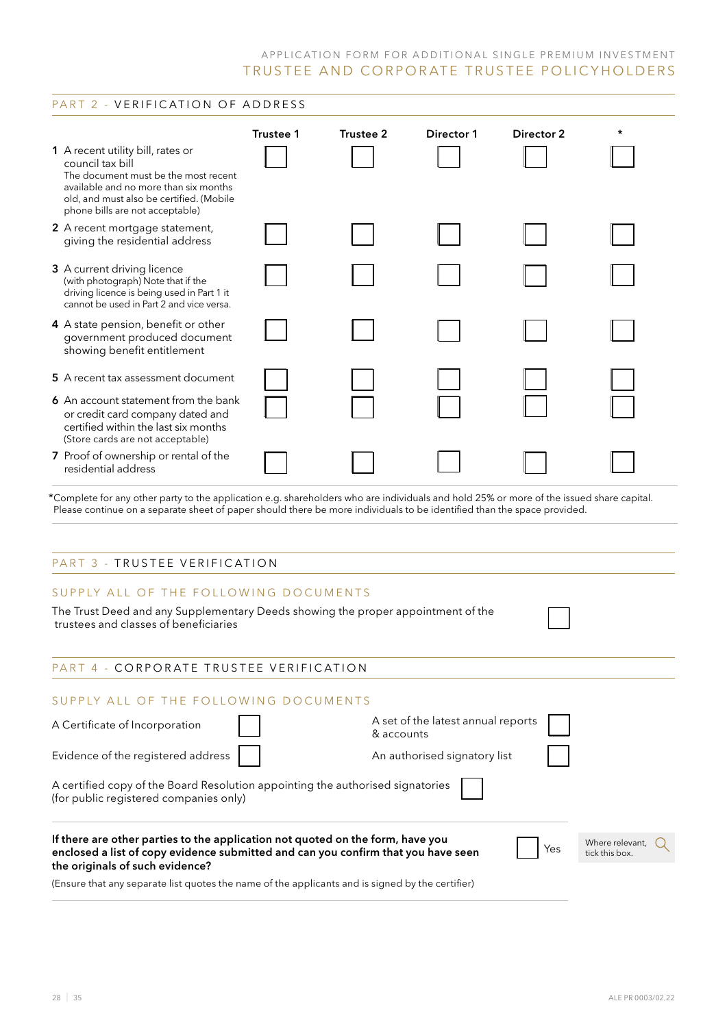### PART 2 - VERIFICATION OF ADDRESS

|                                                                                                                                                                                                                                                                     | Trustee 1 | Trustee 2  | Director 1                         | Director 2 | * |  |  |  |
|---------------------------------------------------------------------------------------------------------------------------------------------------------------------------------------------------------------------------------------------------------------------|-----------|------------|------------------------------------|------------|---|--|--|--|
| 1 A recent utility bill, rates or<br>council tax bill<br>The document must be the most recent<br>available and no more than six months<br>old, and must also be certified. (Mobile<br>phone bills are not acceptable)                                               |           |            |                                    |            |   |  |  |  |
| 2 A recent mortgage statement,<br>giving the residential address                                                                                                                                                                                                    |           |            |                                    |            |   |  |  |  |
| 3 A current driving licence<br>(with photograph) Note that if the<br>driving licence is being used in Part 1 it<br>cannot be used in Part 2 and vice versa.                                                                                                         |           |            |                                    |            |   |  |  |  |
| 4 A state pension, benefit or other<br>government produced document<br>showing benefit entitlement                                                                                                                                                                  |           |            |                                    |            |   |  |  |  |
| 5 A recent tax assessment document                                                                                                                                                                                                                                  |           |            |                                    |            |   |  |  |  |
| 6 An account statement from the bank<br>or credit card company dated and<br>certified within the last six months<br>(Store cards are not acceptable)                                                                                                                |           |            |                                    |            |   |  |  |  |
| 7 Proof of ownership or rental of the<br>residential address                                                                                                                                                                                                        |           |            |                                    |            |   |  |  |  |
| *Complete for any other party to the application e.g. shareholders who are individuals and hold 25% or more of the issued share capital.<br>Please continue on a separate sheet of paper should there be more individuals to be identified than the space provided. |           |            |                                    |            |   |  |  |  |
| PART 3 - TRUSTEE VERIFICATION                                                                                                                                                                                                                                       |           |            |                                    |            |   |  |  |  |
| SUPPLY ALL OF THE FOLLOWING DOCUMENTS<br>The Trust Deed and any Supplementary Deeds showing the proper appointment of the                                                                                                                                           |           |            |                                    |            |   |  |  |  |
| trustees and classes of beneficiaries                                                                                                                                                                                                                               |           |            |                                    |            |   |  |  |  |
| PART 4 - CORPORATE TRUSTEE VERIFICATION                                                                                                                                                                                                                             |           |            |                                    |            |   |  |  |  |
| SUPPLY ALL OF THE FOLLOWING DOCUMENTS                                                                                                                                                                                                                               |           |            |                                    |            |   |  |  |  |
| A Certificate of Incorporation                                                                                                                                                                                                                                      |           | & accounts | A set of the latest annual reports |            |   |  |  |  |
| Evidence of the registered address                                                                                                                                                                                                                                  |           |            | An authorised signatory list       |            |   |  |  |  |
| A certified copy of the Board Resolution appointing the authorised signatories<br>(for public registered companies only)                                                                                                                                            |           |            |                                    |            |   |  |  |  |
| If there are other parties to the application not quoted on the form, have you<br>Where relevant,<br>Yes<br>enclosed a list of copy evidence submitted and can you confirm that you have seen<br>tick this box.<br>the originals of such evidence?                  |           |            |                                    |            |   |  |  |  |
| (Ensure that any separate list quotes the name of the applicants and is signed by the certifier)                                                                                                                                                                    |           |            |                                    |            |   |  |  |  |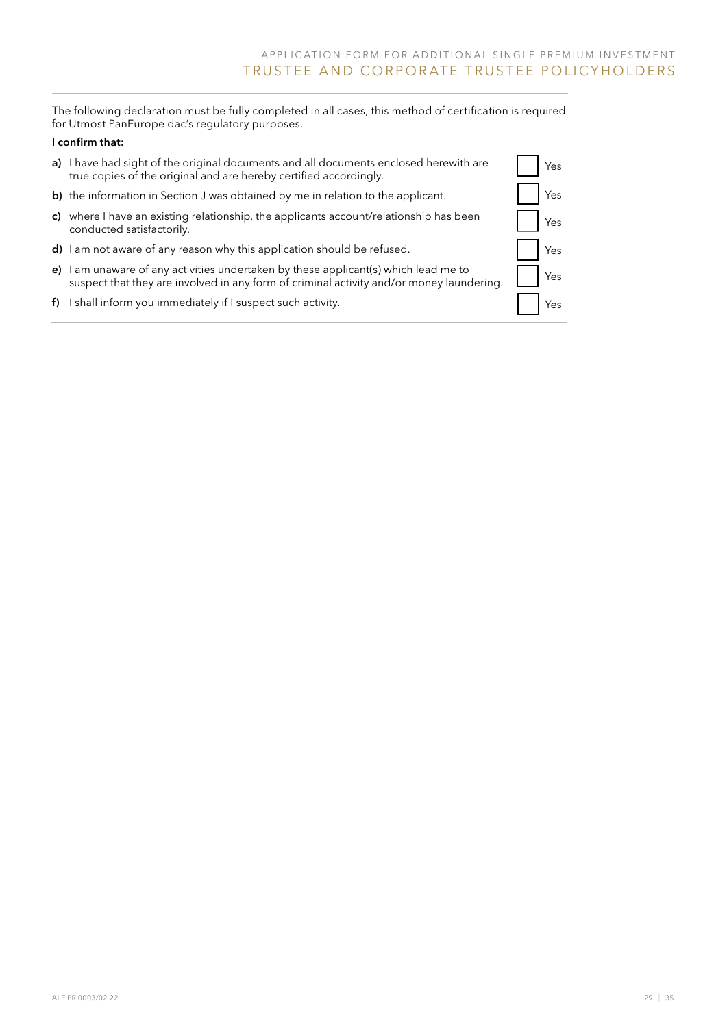The following declaration must be fully completed in all cases, this method of certification is required for Utmost PanEurope dac's regulatory purposes.

### I confirm that:

| a) I have had sight of the original documents and all documents enclosed herewith are<br>true copies of the original and are hereby certified accordingly.                      | <b>Yes</b> |
|---------------------------------------------------------------------------------------------------------------------------------------------------------------------------------|------------|
| b) the information in Section J was obtained by me in relation to the applicant.                                                                                                | Yes        |
| c) where I have an existing relationship, the applicants account/relationship has been<br>conducted satisfactorily.                                                             | Yes        |
| d) I am not aware of any reason why this application should be refused.                                                                                                         | Yes        |
| e) I am unaware of any activities undertaken by these applicant(s) which lead me to<br>suspect that they are involved in any form of criminal activity and/or money laundering. | <b>Yes</b> |
| $f$ ) I shall inform you immediately if I suspect such activity.                                                                                                                | Yes        |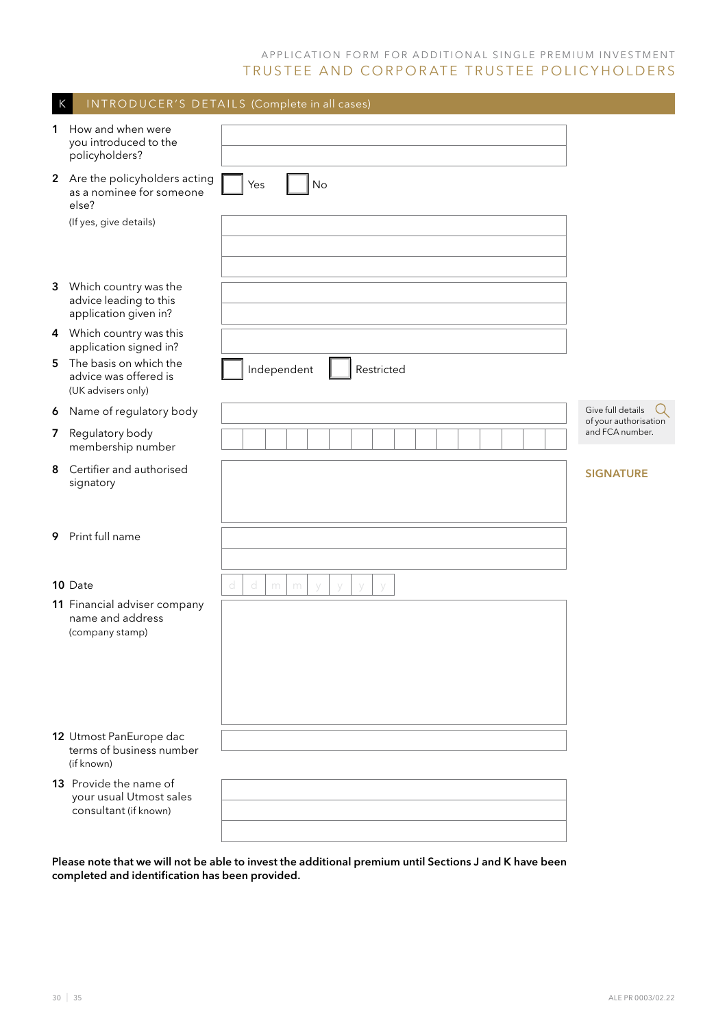| K              |                                                                                               | INTRODUCER'S DETAILS (Complete in all cases) |                                            |
|----------------|-----------------------------------------------------------------------------------------------|----------------------------------------------|--------------------------------------------|
| 1              | How and when were<br>you introduced to the<br>policyholders?                                  |                                              |                                            |
|                | 2 Are the policyholders acting<br>as a nominee for someone<br>else?<br>(If yes, give details) | No<br>Yes                                    |                                            |
|                |                                                                                               |                                              |                                            |
| 3              | Which country was the<br>advice leading to this<br>application given in?                      |                                              |                                            |
|                | 4 Which country was this<br>application signed in?                                            |                                              |                                            |
| 5              | The basis on which the<br>advice was offered is<br>(UK advisers only)                         | Independent<br>Restricted                    |                                            |
| 6              | Name of regulatory body                                                                       |                                              | Give full details<br>of your authorisation |
| $\overline{7}$ | Regulatory body<br>membership number                                                          |                                              | and FCA number.                            |
| 8              | Certifier and authorised<br>signatory                                                         |                                              | <b>SIGNATURE</b>                           |
| 9              | Print full name                                                                               |                                              |                                            |
|                | 10 Date                                                                                       | d<br>d<br>m<br>m<br>V<br>V<br>V<br>y         |                                            |
|                | 11 Financial adviser company<br>name and address<br>(company stamp)                           |                                              |                                            |
|                | 12 Utmost PanEurope dac<br>terms of business number<br>(if known)                             |                                              |                                            |
|                | 13 Provide the name of<br>your usual Utmost sales<br>consultant (if known)                    |                                              |                                            |
|                |                                                                                               |                                              |                                            |

Please note that we will not be able to invest the additional premium until Sections J and K have been completed and identification has been provided.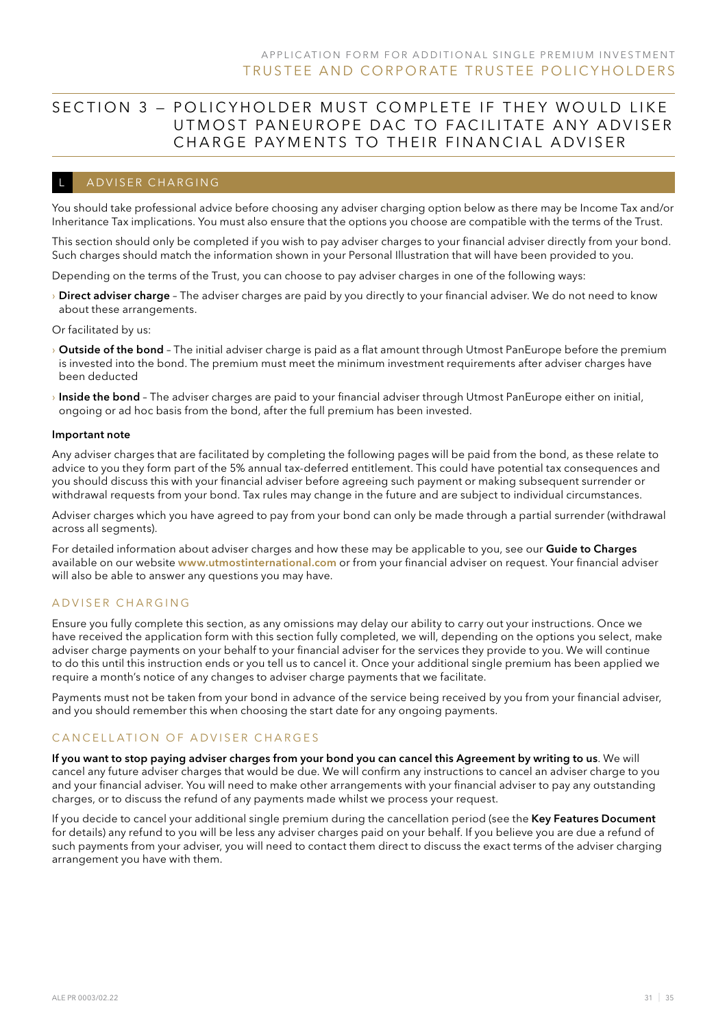## SECTION 3 – POLICYHOLDER MUST COMPLETE IF THEY WOULD LIKE UTM OST PAN EUROPE DAC TO FACILITATE ANY ADVISER CHARGE PAYMENTS TO THEIR FINANCIAL ADVISER

### ADVISER CHARGING

You should take professional advice before choosing any adviser charging option below as there may be Income Tax and/or Inheritance Tax implications. You must also ensure that the options you choose are compatible with the terms of the Trust.

This section should only be completed if you wish to pay adviser charges to your financial adviser directly from your bond. Such charges should match the information shown in your Personal Illustration that will have been provided to you.

Depending on the terms of the Trust, you can choose to pay adviser charges in one of the following ways:

> Direct adviser charge - The adviser charges are paid by you directly to your financial adviser. We do not need to know about these arrangements.

Or facilitated by us:

- > Outside of the bond The initial adviser charge is paid as a flat amount through Utmost PanEurope before the premium is invested into the bond. The premium must meet the minimum investment requirements after adviser charges have been deducted
- $\rightarrow$  Inside the bond The adviser charges are paid to your financial adviser through Utmost PanEurope either on initial, ongoing or ad hoc basis from the bond, after the full premium has been invested.

#### Important note

Any adviser charges that are facilitated by completing the following pages will be paid from the bond, as these relate to advice to you they form part of the 5% annual tax-deferred entitlement. This could have potential tax consequences and you should discuss this with your financial adviser before agreeing such payment or making subsequent surrender or withdrawal requests from your bond. Tax rules may change in the future and are subject to individual circumstances.

Adviser charges which you have agreed to pay from your bond can only be made through a partial surrender (withdrawal across all segments).

For detailed information about adviser charges and how these may be applicable to you, see our Guide to Charges available on our website www.utmostinternational.com or from your financial adviser on request. Your financial adviser will also be able to answer any questions you may have.

#### A D V I S E R C H A R G I N G

Ensure you fully complete this section, as any omissions may delay our ability to carry out your instructions. Once we have received the application form with this section fully completed, we will, depending on the options you select, make adviser charge payments on your behalf to your financial adviser for the services they provide to you. We will continue to do this until this instruction ends or you tell us to cancel it. Once your additional single premium has been applied we require a month's notice of any changes to adviser charge payments that we facilitate.

Payments must not be taken from your bond in advance of the service being received by you from your financial adviser, and you should remember this when choosing the start date for any ongoing payments.

#### CANCELLATION OF ADVISER CHARGES

If you want to stop paying adviser charges from your bond you can cancel this Agreement by writing to us. We will cancel any future adviser charges that would be due. We will confirm any instructions to cancel an adviser charge to you and your financial adviser. You will need to make other arrangements with your financial adviser to pay any outstanding charges, or to discuss the refund of any payments made whilst we process your request.

If you decide to cancel your additional single premium during the cancellation period (see the Key Features Document for details) any refund to you will be less any adviser charges paid on your behalf. If you believe you are due a refund of such payments from your adviser, you will need to contact them direct to discuss the exact terms of the adviser charging arrangement you have with them.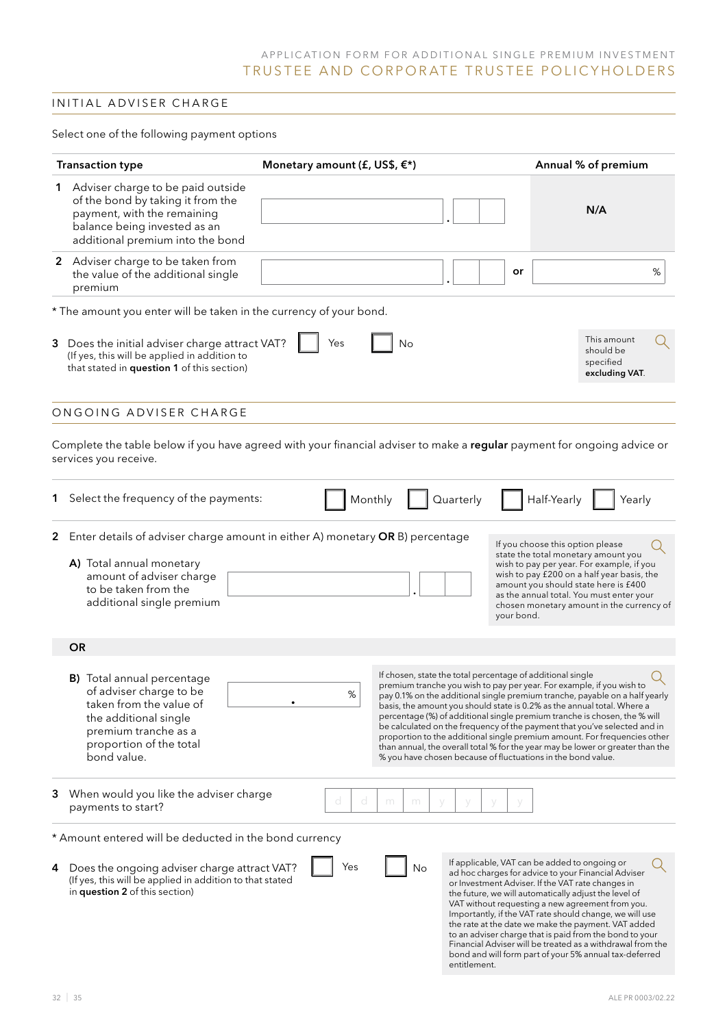### INITIAL ADVISER CHARGE

Select one of the following payment options

| <b>Transaction type</b>                                                                                                                                                                      | Monetary amount (£, US\$, $\xi^*$ ) |                                                                                                                                                                                                                                                                                                                                                                                                                                          |                                                | Annual % of premium                                                                                                                                                                                                                                                                                                                                                                                                                                                                                                        |
|----------------------------------------------------------------------------------------------------------------------------------------------------------------------------------------------|-------------------------------------|------------------------------------------------------------------------------------------------------------------------------------------------------------------------------------------------------------------------------------------------------------------------------------------------------------------------------------------------------------------------------------------------------------------------------------------|------------------------------------------------|----------------------------------------------------------------------------------------------------------------------------------------------------------------------------------------------------------------------------------------------------------------------------------------------------------------------------------------------------------------------------------------------------------------------------------------------------------------------------------------------------------------------------|
| Adviser charge to be paid outside<br>1<br>of the bond by taking it from the<br>payment, with the remaining<br>balance being invested as an<br>additional premium into the bond               |                                     |                                                                                                                                                                                                                                                                                                                                                                                                                                          |                                                | N/A                                                                                                                                                                                                                                                                                                                                                                                                                                                                                                                        |
| 2 Adviser charge to be taken from<br>the value of the additional single<br>premium                                                                                                           |                                     |                                                                                                                                                                                                                                                                                                                                                                                                                                          | or                                             | %                                                                                                                                                                                                                                                                                                                                                                                                                                                                                                                          |
| * The amount you enter will be taken in the currency of your bond.                                                                                                                           |                                     |                                                                                                                                                                                                                                                                                                                                                                                                                                          |                                                |                                                                                                                                                                                                                                                                                                                                                                                                                                                                                                                            |
| 3 Does the initial adviser charge attract VAT?<br>(If yes, this will be applied in addition to<br>that stated in question 1 of this section)                                                 | Yes                                 | No                                                                                                                                                                                                                                                                                                                                                                                                                                       |                                                | This amount<br>should be<br>specified<br>excluding VAT.                                                                                                                                                                                                                                                                                                                                                                                                                                                                    |
| ONGOING ADVISER CHARGE                                                                                                                                                                       |                                     |                                                                                                                                                                                                                                                                                                                                                                                                                                          |                                                |                                                                                                                                                                                                                                                                                                                                                                                                                                                                                                                            |
| Complete the table below if you have agreed with your financial adviser to make a regular payment for ongoing advice or<br>services you receive.                                             |                                     |                                                                                                                                                                                                                                                                                                                                                                                                                                          |                                                |                                                                                                                                                                                                                                                                                                                                                                                                                                                                                                                            |
| Select the frequency of the payments:<br>1.                                                                                                                                                  |                                     | Quarterly<br>Monthly                                                                                                                                                                                                                                                                                                                                                                                                                     | Half-Yearly                                    | Yearly                                                                                                                                                                                                                                                                                                                                                                                                                                                                                                                     |
| 2 Enter details of adviser charge amount in either A) monetary OR B) percentage<br>A) Total annual monetary<br>amount of adviser charge<br>to be taken from the<br>additional single premium |                                     |                                                                                                                                                                                                                                                                                                                                                                                                                                          | If you choose this option please<br>your bond. | state the total monetary amount you<br>wish to pay per year. For example, if you<br>wish to pay £200 on a half year basis, the<br>amount you should state here is £400<br>as the annual total. You must enter your<br>chosen monetary amount in the currency of                                                                                                                                                                                                                                                            |
| <b>OR</b>                                                                                                                                                                                    |                                     |                                                                                                                                                                                                                                                                                                                                                                                                                                          |                                                |                                                                                                                                                                                                                                                                                                                                                                                                                                                                                                                            |
| <b>B)</b> Total annual percentage<br>of adviser charge to be<br>taken from the value of<br>the additional single<br>premium tranche as a<br>proportion of the total<br>bond value.           | $\%$                                | If chosen, state the total percentage of additional single<br>premium tranche you wish to pay per year. For example, if you wish to<br>basis, the amount you should state is 0.2% as the annual total. Where a<br>percentage (%) of additional single premium tranche is chosen, the % will<br>be calculated on the frequency of the payment that you've selected and in<br>% you have chosen because of fluctuations in the bond value. |                                                | pay 0.1% on the additional single premium tranche, payable on a half yearly<br>proportion to the additional single premium amount. For frequencies other<br>than annual, the overall total % for the year may be lower or greater than the                                                                                                                                                                                                                                                                                 |
| When would you like the adviser charge<br>3<br>payments to start?                                                                                                                            | d<br>d                              | m<br>m                                                                                                                                                                                                                                                                                                                                                                                                                                   |                                                |                                                                                                                                                                                                                                                                                                                                                                                                                                                                                                                            |
| * Amount entered will be deducted in the bond currency                                                                                                                                       |                                     |                                                                                                                                                                                                                                                                                                                                                                                                                                          |                                                |                                                                                                                                                                                                                                                                                                                                                                                                                                                                                                                            |
| Does the ongoing adviser charge attract VAT?<br>4<br>(If yes, this will be applied in addition to that stated<br>in question 2 of this section)                                              | Yes                                 | No<br>entitlement.                                                                                                                                                                                                                                                                                                                                                                                                                       | If applicable, VAT can be added to ongoing or  | ad hoc charges for advice to your Financial Adviser<br>or Investment Adviser. If the VAT rate changes in<br>the future, we will automatically adjust the level of<br>VAT without requesting a new agreement from you.<br>Importantly, if the VAT rate should change, we will use<br>the rate at the date we make the payment. VAT added<br>to an adviser charge that is paid from the bond to your<br>Financial Adviser will be treated as a withdrawal from the<br>bond and will form part of your 5% annual tax-deferred |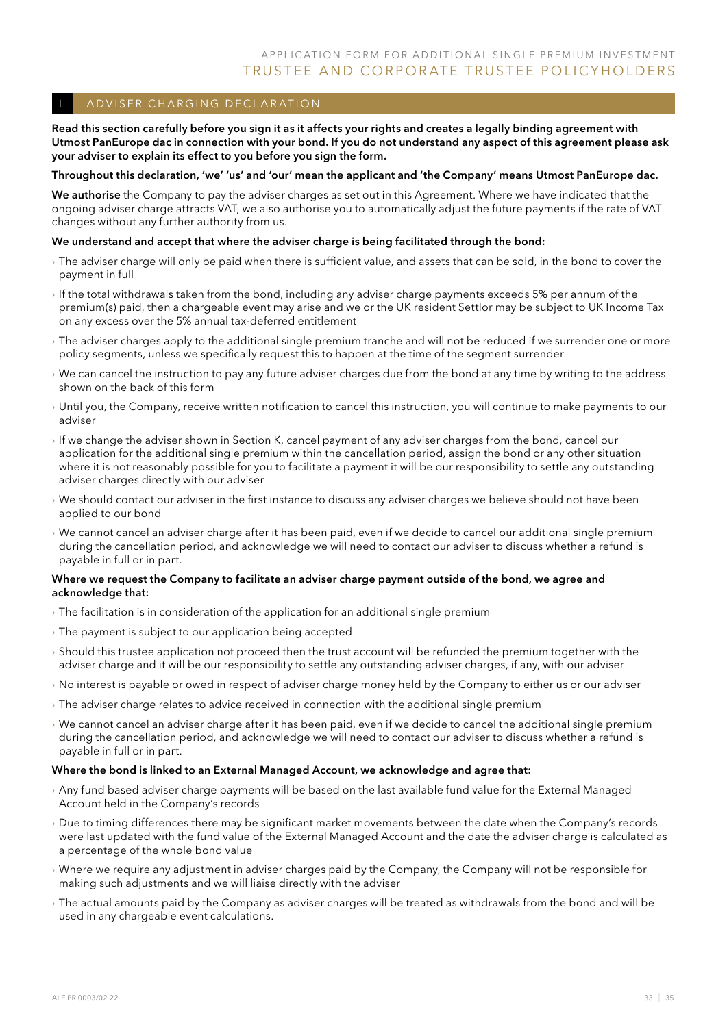### A DVISER CHARGING DECLARATION

Read this section carefully before you sign it as it affects your rights and creates a legally binding agreement with Utmost PanEurope dac in connection with your bond. If you do not understand any aspect of this agreement please ask your adviser to explain its effect to you before you sign the form.

#### Throughout this declaration, 'we' 'us' and 'our' mean the applicant and 'the Company' means Utmost PanEurope dac.

We authorise the Company to pay the adviser charges as set out in this Agreement. Where we have indicated that the ongoing adviser charge attracts VAT, we also authorise you to automatically adjust the future payments if the rate of VAT changes without any further authority from us.

#### We understand and accept that where the adviser charge is being facilitated through the bond:

- › The adviser charge will only be paid when there is sufficient value, and assets that can be sold, in the bond to cover the payment in full
- › If the total withdrawals taken from the bond, including any adviser charge payments exceeds 5% per annum of the premium(s) paid, then a chargeable event may arise and we or the UK resident Settlor may be subject to UK Income Tax on any excess over the 5% annual tax-deferred entitlement
- › The adviser charges apply to the additional single premium tranche and will not be reduced if we surrender one or more policy segments, unless we specifically request this to happen at the time of the segment surrender
- › We can cancel the instruction to pay any future adviser charges due from the bond at any time by writing to the address shown on the back of this form
- › Until you, the Company, receive written notification to cancel this instruction, you will continue to make payments to our adviser
- › If we change the adviser shown in Section K, cancel payment of any adviser charges from the bond, cancel our application for the additional single premium within the cancellation period, assign the bond or any other situation where it is not reasonably possible for you to facilitate a payment it will be our responsibility to settle any outstanding adviser charges directly with our adviser
- › We should contact our adviser in the first instance to discuss any adviser charges we believe should not have been applied to our bond
- › We cannot cancel an adviser charge after it has been paid, even if we decide to cancel our additional single premium during the cancellation period, and acknowledge we will need to contact our adviser to discuss whether a refund is payable in full or in part.

#### Where we request the Company to facilitate an adviser charge payment outside of the bond, we agree and acknowledge that:

- › The facilitation is in consideration of the application for an additional single premium
- $\rightarrow$  The payment is subject to our application being accepted
- › Should this trustee application not proceed then the trust account will be refunded the premium together with the adviser charge and it will be our responsibility to settle any outstanding adviser charges, if any, with our adviser
- › No interest is payable or owed in respect of adviser charge money held by the Company to either us or our adviser
- › The adviser charge relates to advice received in connection with the additional single premium
- › We cannot cancel an adviser charge after it has been paid, even if we decide to cancel the additional single premium during the cancellation period, and acknowledge we will need to contact our adviser to discuss whether a refund is payable in full or in part.

#### Where the bond is linked to an External Managed Account, we acknowledge and agree that:

- › Any fund based adviser charge payments will be based on the last available fund value for the External Managed Account held in the Company's records
- › Due to timing differences there may be significant market movements between the date when the Company's records were last updated with the fund value of the External Managed Account and the date the adviser charge is calculated as a percentage of the whole bond value
- › Where we require any adjustment in adviser charges paid by the Company, the Company will not be responsible for making such adjustments and we will liaise directly with the adviser
- › The actual amounts paid by the Company as adviser charges will be treated as withdrawals from the bond and will be used in any chargeable event calculations.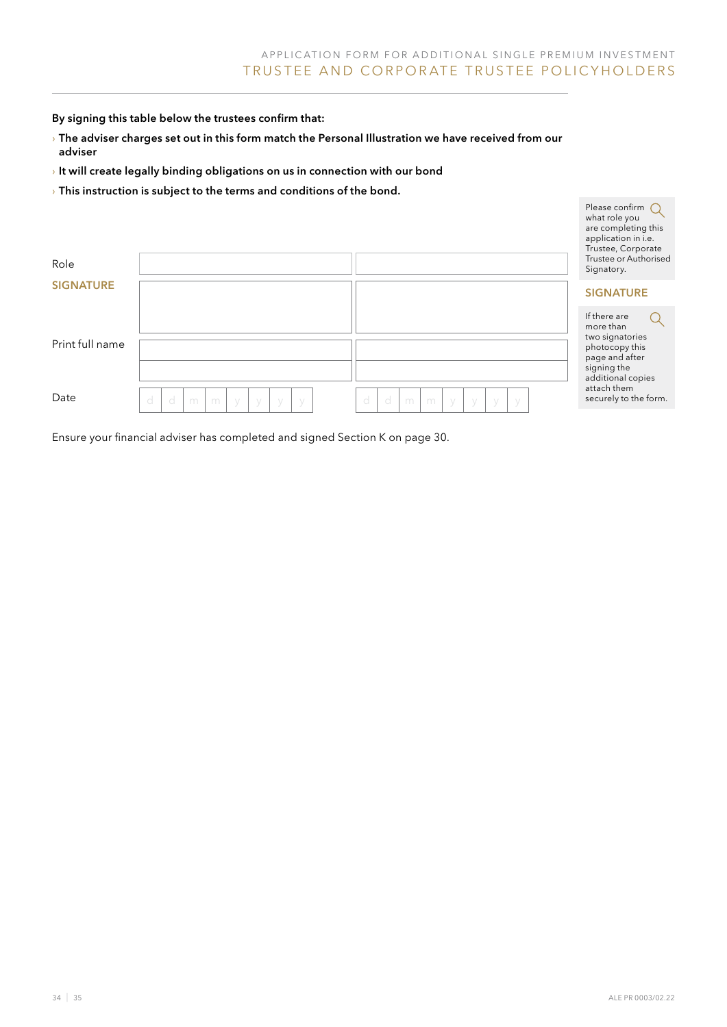By signing this table below the trustees confirm that:

- › The adviser charges set out in this form match the Personal Illustration we have received from our adviser
- $\rightarrow$  It will create legally binding obligations on us in connection with our bond
- $\rightarrow$  This instruction is subject to the terms and conditions of the bond.

| Role             |                                        |                                        | what role you<br>are completing this<br>application in i.e.<br>Trustee, Corporate<br>Trustee or Authorised<br>Signatory. |
|------------------|----------------------------------------|----------------------------------------|--------------------------------------------------------------------------------------------------------------------------|
| <b>SIGNATURE</b> |                                        |                                        | <b>SIGNATURE</b>                                                                                                         |
| Print full name  |                                        |                                        | If there are<br>more than<br>two signatories<br>photocopy this<br>page and after<br>signing the<br>additional copies     |
| Date             | d<br>d<br>m<br>m<br>y<br>У<br>У<br>- y | d<br>d<br>m<br>m<br>У<br>V<br>V<br>- V | attach them<br>securely to the form.                                                                                     |
|                  |                                        |                                        |                                                                                                                          |

Ensure your financial adviser has completed and signed Section K on page 30.

Please confirm  $\bigcap$